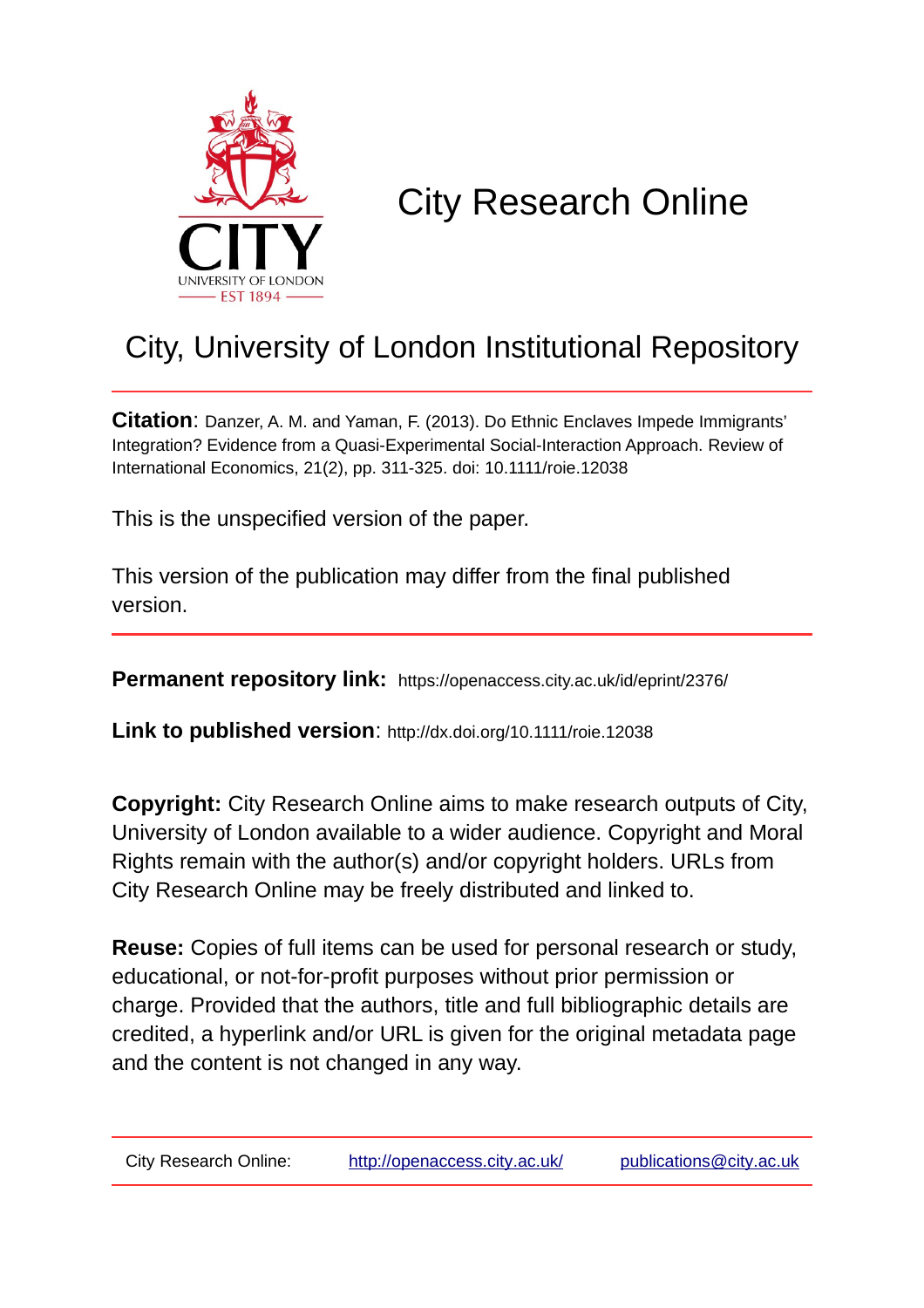

# City Research Online

# City, University of London Institutional Repository

**Citation**: Danzer, A. M. and Yaman, F. (2013). Do Ethnic Enclaves Impede Immigrants' Integration? Evidence from a Quasi-Experimental Social-Interaction Approach. Review of International Economics, 21(2), pp. 311-325. doi: 10.1111/roie.12038

This is the unspecified version of the paper.

This version of the publication may differ from the final published version.

**Permanent repository link:** https://openaccess.city.ac.uk/id/eprint/2376/

**Link to published version**: http://dx.doi.org/10.1111/roie.12038

**Copyright:** City Research Online aims to make research outputs of City, University of London available to a wider audience. Copyright and Moral Rights remain with the author(s) and/or copyright holders. URLs from City Research Online may be freely distributed and linked to.

**Reuse:** Copies of full items can be used for personal research or study, educational, or not-for-profit purposes without prior permission or charge. Provided that the authors, title and full bibliographic details are credited, a hyperlink and/or URL is given for the original metadata page and the content is not changed in any way.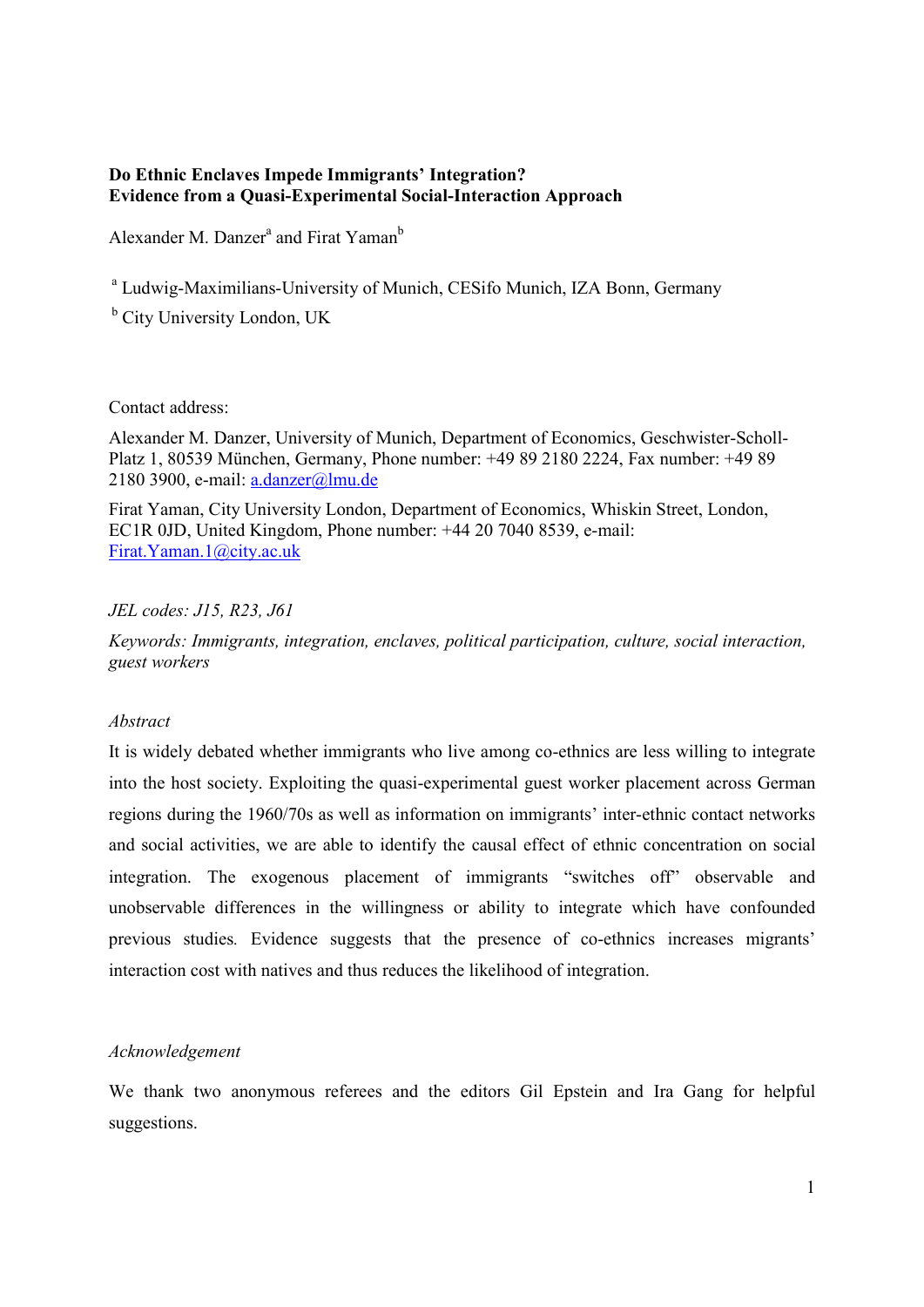### **Do Ethnic Enclaves Impede Immigrants' Integration? Evidence from a Quasi-Experimental Social-Interaction Approach**

Alexander M. Danzer<sup>a</sup> and Firat Yaman<sup>b</sup>

<sup>a</sup> Ludwig-Maximilians-University of Munich, CESifo Munich, IZA Bonn, Germany

<sup>b</sup> City University London, UK

Contact address:

Alexander M. Danzer, University of Munich, Department of Economics, Geschwister-Scholl-Platz 1, 80539 München, Germany, Phone number: +49 89 2180 2224, Fax number: +49 89 2180 3900, e-mail: a.danzer@lmu.de

Firat Yaman, City University London, Department of Economics, Whiskin Street, London, EC1R 0JD, United Kingdom, Phone number: +44 20 7040 8539, e-mail: Firat.Yaman.1@city.ac.uk

## *JEL codes: J15, R23, J61*

*Keywords: Immigrants, integration, enclaves, political participation, culture, social interaction, guest workers* 

#### *Abstract*

It is widely debated whether immigrants who live among co-ethnics are less willing to integrate into the host society. Exploiting the quasi-experimental guest worker placement across German regions during the 1960/70s as well as information on immigrants' inter-ethnic contact networks and social activities, we are able to identify the causal effect of ethnic concentration on social integration. The exogenous placement of immigrants "switches off" observable and unobservable differences in the willingness or ability to integrate which have confounded previous studies*.* Evidence suggests that the presence of co-ethnics increases migrants' interaction cost with natives and thus reduces the likelihood of integration.

#### *Acknowledgement*

We thank two anonymous referees and the editors Gil Epstein and Ira Gang for helpful suggestions.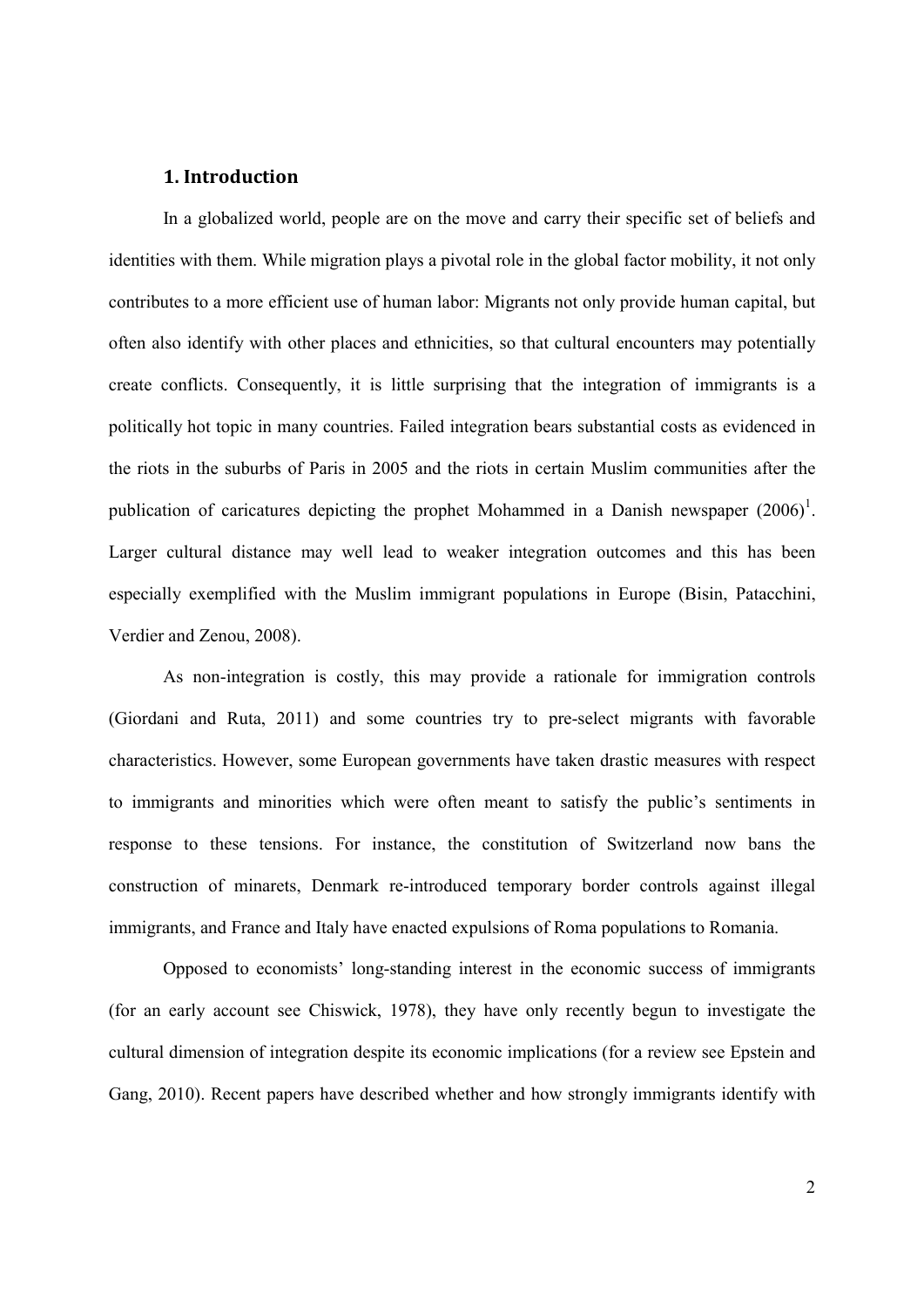#### **1. Introduction**

In a globalized world, people are on the move and carry their specific set of beliefs and identities with them. While migration plays a pivotal role in the global factor mobility, it not only contributes to a more efficient use of human labor: Migrants not only provide human capital, but often also identify with other places and ethnicities, so that cultural encounters may potentially create conflicts. Consequently, it is little surprising that the integration of immigrants is a politically hot topic in many countries. Failed integration bears substantial costs as evidenced in the riots in the suburbs of Paris in 2005 and the riots in certain Muslim communities after the publication of caricatures depicting the prophet Mohammed in a Danish newspaper  $(2006)^1$ . Larger cultural distance may well lead to weaker integration outcomes and this has been especially exemplified with the Muslim immigrant populations in Europe (Bisin, Patacchini, Verdier and Zenou, 2008).

As non-integration is costly, this may provide a rationale for immigration controls (Giordani and Ruta, 2011) and some countries try to pre-select migrants with favorable characteristics. However, some European governments have taken drastic measures with respect to immigrants and minorities which were often meant to satisfy the public's sentiments in response to these tensions. For instance, the constitution of Switzerland now bans the construction of minarets, Denmark re-introduced temporary border controls against illegal immigrants, and France and Italy have enacted expulsions of Roma populations to Romania.

Opposed to economists' long-standing interest in the economic success of immigrants (for an early account see Chiswick, 1978), they have only recently begun to investigate the cultural dimension of integration despite its economic implications (for a review see Epstein and Gang, 2010). Recent papers have described whether and how strongly immigrants identify with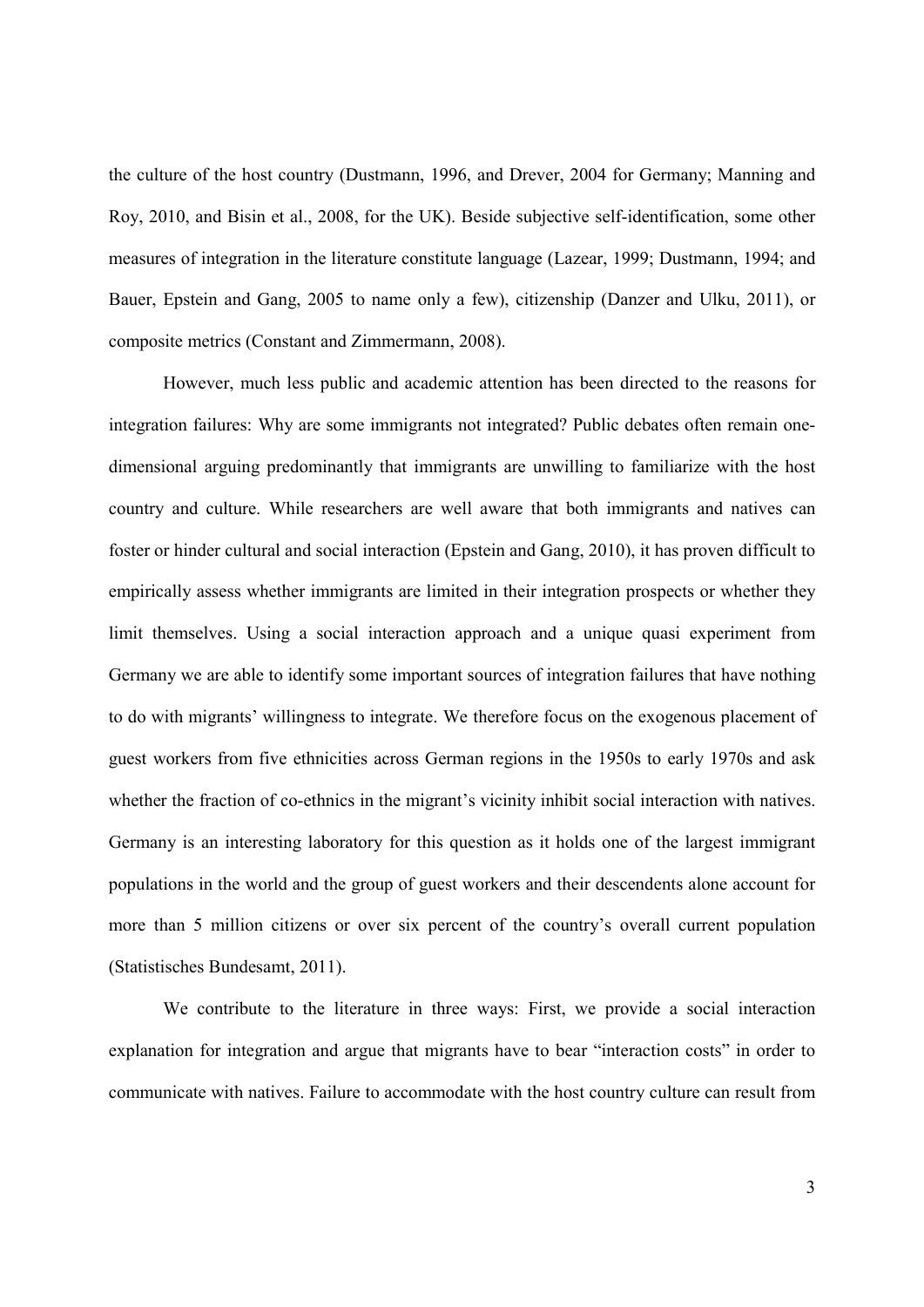the culture of the host country (Dustmann, 1996, and Drever, 2004 for Germany; Manning and Roy, 2010, and Bisin et al., 2008, for the UK). Beside subjective self-identification, some other measures of integration in the literature constitute language (Lazear, 1999; Dustmann, 1994; and Bauer, Epstein and Gang, 2005 to name only a few), citizenship (Danzer and Ulku, 2011), or composite metrics (Constant and Zimmermann, 2008).

However, much less public and academic attention has been directed to the reasons for integration failures: Why are some immigrants not integrated? Public debates often remain onedimensional arguing predominantly that immigrants are unwilling to familiarize with the host country and culture. While researchers are well aware that both immigrants and natives can foster or hinder cultural and social interaction (Epstein and Gang, 2010), it has proven difficult to empirically assess whether immigrants are limited in their integration prospects or whether they limit themselves. Using a social interaction approach and a unique quasi experiment from Germany we are able to identify some important sources of integration failures that have nothing to do with migrants' willingness to integrate. We therefore focus on the exogenous placement of guest workers from five ethnicities across German regions in the 1950s to early 1970s and ask whether the fraction of co-ethnics in the migrant's vicinity inhibit social interaction with natives. Germany is an interesting laboratory for this question as it holds one of the largest immigrant populations in the world and the group of guest workers and their descendents alone account for more than 5 million citizens or over six percent of the country's overall current population (Statistisches Bundesamt, 2011).

We contribute to the literature in three ways: First, we provide a social interaction explanation for integration and argue that migrants have to bear "interaction costs" in order to communicate with natives. Failure to accommodate with the host country culture can result from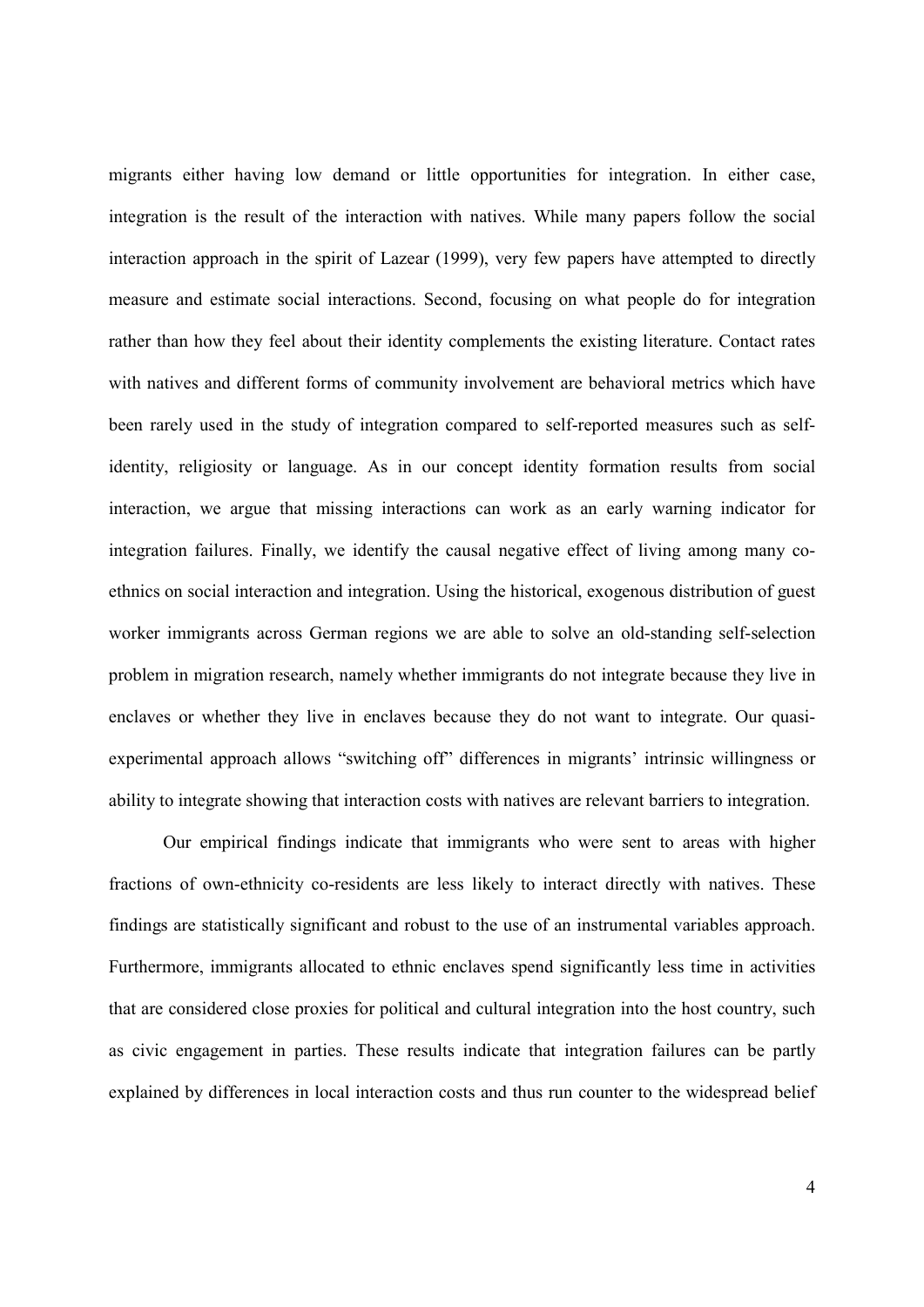migrants either having low demand or little opportunities for integration. In either case, integration is the result of the interaction with natives. While many papers follow the social interaction approach in the spirit of Lazear (1999), very few papers have attempted to directly measure and estimate social interactions. Second, focusing on what people do for integration rather than how they feel about their identity complements the existing literature. Contact rates with natives and different forms of community involvement are behavioral metrics which have been rarely used in the study of integration compared to self-reported measures such as selfidentity, religiosity or language. As in our concept identity formation results from social interaction, we argue that missing interactions can work as an early warning indicator for integration failures. Finally, we identify the causal negative effect of living among many coethnics on social interaction and integration. Using the historical, exogenous distribution of guest worker immigrants across German regions we are able to solve an old-standing self-selection problem in migration research, namely whether immigrants do not integrate because they live in enclaves or whether they live in enclaves because they do not want to integrate. Our quasiexperimental approach allows "switching off" differences in migrants' intrinsic willingness or ability to integrate showing that interaction costs with natives are relevant barriers to integration.

Our empirical findings indicate that immigrants who were sent to areas with higher fractions of own-ethnicity co-residents are less likely to interact directly with natives. These findings are statistically significant and robust to the use of an instrumental variables approach. Furthermore, immigrants allocated to ethnic enclaves spend significantly less time in activities that are considered close proxies for political and cultural integration into the host country, such as civic engagement in parties. These results indicate that integration failures can be partly explained by differences in local interaction costs and thus run counter to the widespread belief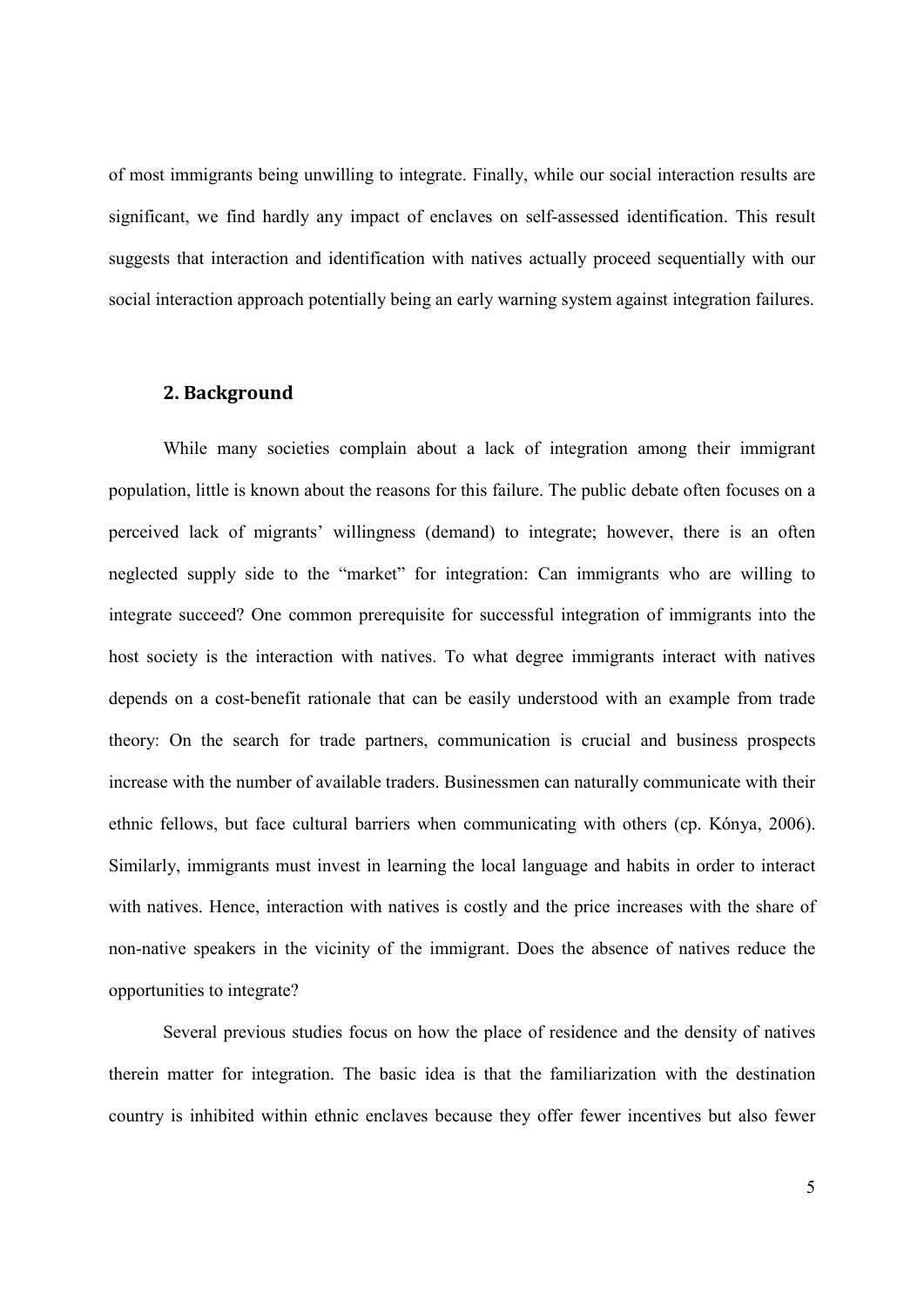of most immigrants being unwilling to integrate. Finally, while our social interaction results are significant, we find hardly any impact of enclaves on self-assessed identification. This result suggests that interaction and identification with natives actually proceed sequentially with our social interaction approach potentially being an early warning system against integration failures.

#### **2. Background**

While many societies complain about a lack of integration among their immigrant population, little is known about the reasons for this failure. The public debate often focuses on a perceived lack of migrants' willingness (demand) to integrate; however, there is an often neglected supply side to the "market" for integration: Can immigrants who are willing to integrate succeed? One common prerequisite for successful integration of immigrants into the host society is the interaction with natives. To what degree immigrants interact with natives depends on a cost-benefit rationale that can be easily understood with an example from trade theory: On the search for trade partners, communication is crucial and business prospects increase with the number of available traders. Businessmen can naturally communicate with their ethnic fellows, but face cultural barriers when communicating with others (cp. Kónya, 2006). Similarly, immigrants must invest in learning the local language and habits in order to interact with natives. Hence, interaction with natives is costly and the price increases with the share of non-native speakers in the vicinity of the immigrant. Does the absence of natives reduce the opportunities to integrate?

Several previous studies focus on how the place of residence and the density of natives therein matter for integration. The basic idea is that the familiarization with the destination country is inhibited within ethnic enclaves because they offer fewer incentives but also fewer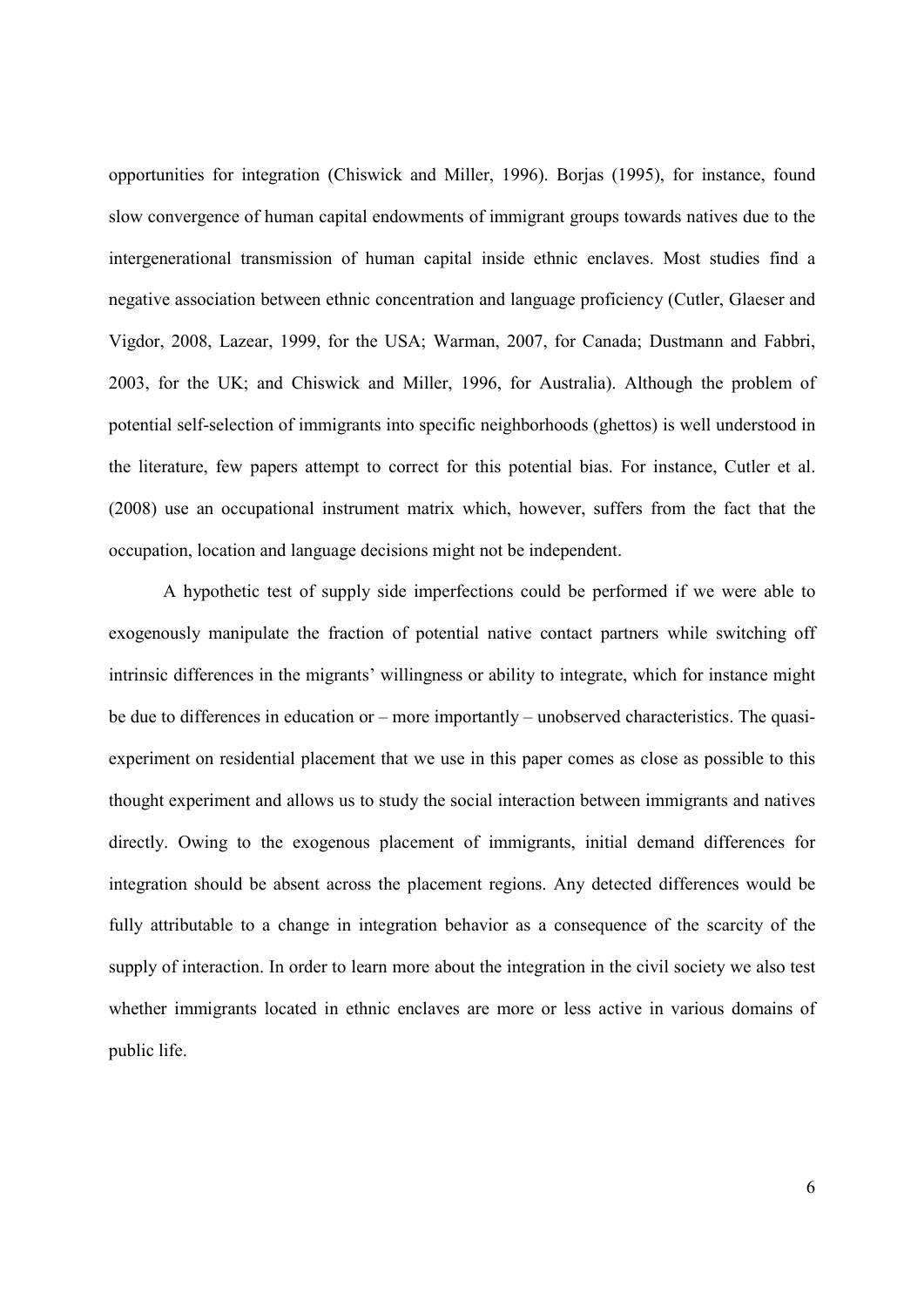opportunities for integration (Chiswick and Miller, 1996). Borjas (1995), for instance, found slow convergence of human capital endowments of immigrant groups towards natives due to the intergenerational transmission of human capital inside ethnic enclaves. Most studies find a negative association between ethnic concentration and language proficiency (Cutler, Glaeser and Vigdor, 2008, Lazear, 1999, for the USA; Warman, 2007, for Canada; Dustmann and Fabbri, 2003, for the UK; and Chiswick and Miller, 1996, for Australia). Although the problem of potential self-selection of immigrants into specific neighborhoods (ghettos) is well understood in the literature, few papers attempt to correct for this potential bias. For instance, Cutler et al. (2008) use an occupational instrument matrix which, however, suffers from the fact that the occupation, location and language decisions might not be independent.

A hypothetic test of supply side imperfections could be performed if we were able to exogenously manipulate the fraction of potential native contact partners while switching off intrinsic differences in the migrants' willingness or ability to integrate, which for instance might be due to differences in education or – more importantly – unobserved characteristics. The quasiexperiment on residential placement that we use in this paper comes as close as possible to this thought experiment and allows us to study the social interaction between immigrants and natives directly. Owing to the exogenous placement of immigrants, initial demand differences for integration should be absent across the placement regions. Any detected differences would be fully attributable to a change in integration behavior as a consequence of the scarcity of the supply of interaction. In order to learn more about the integration in the civil society we also test whether immigrants located in ethnic enclaves are more or less active in various domains of public life.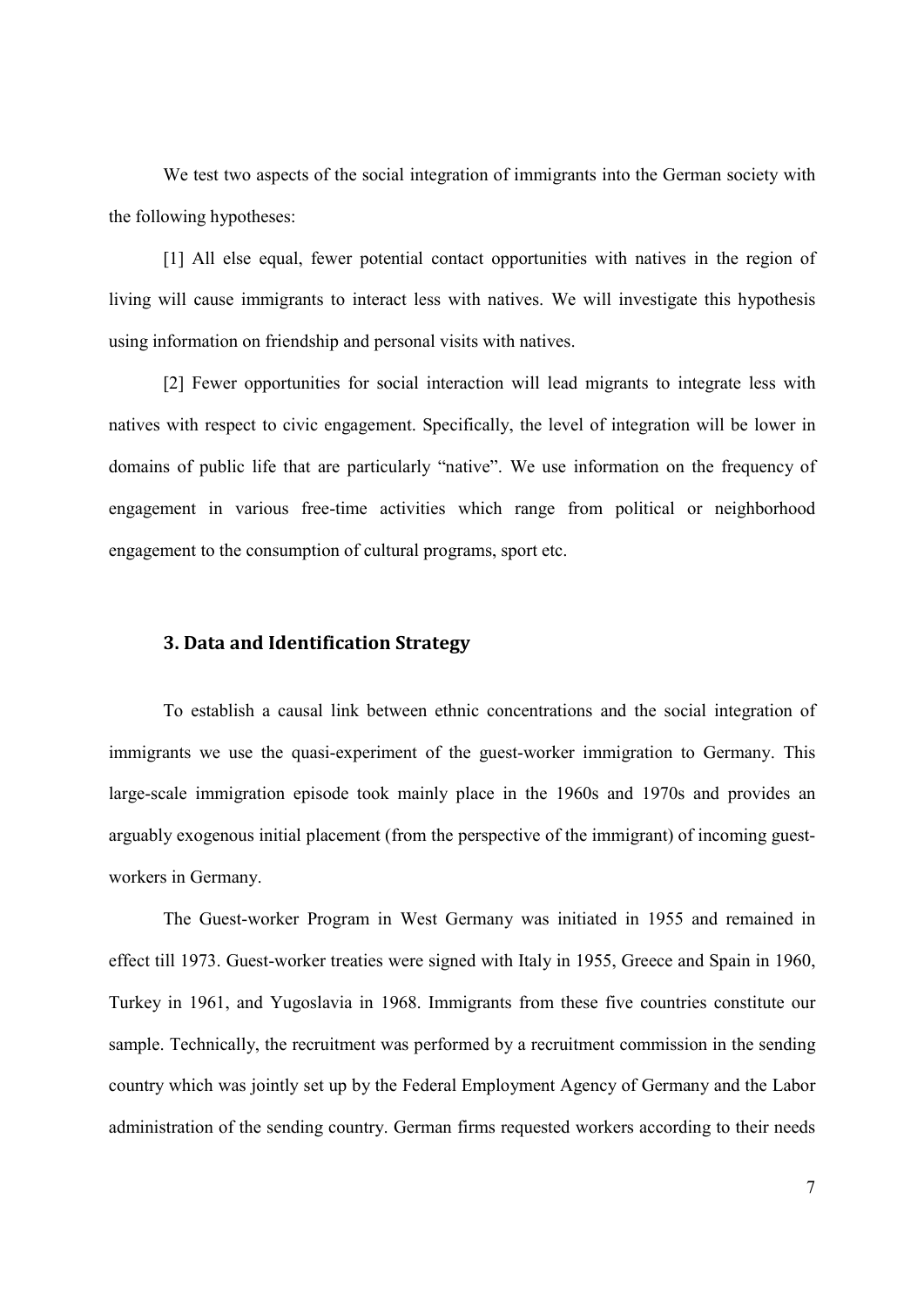We test two aspects of the social integration of immigrants into the German society with the following hypotheses:

[1] All else equal, fewer potential contact opportunities with natives in the region of living will cause immigrants to interact less with natives. We will investigate this hypothesis using information on friendship and personal visits with natives.

[2] Fewer opportunities for social interaction will lead migrants to integrate less with natives with respect to civic engagement. Specifically, the level of integration will be lower in domains of public life that are particularly "native". We use information on the frequency of engagement in various free-time activities which range from political or neighborhood engagement to the consumption of cultural programs, sport etc.

# **3. Data and Identification Strategy**

To establish a causal link between ethnic concentrations and the social integration of immigrants we use the quasi-experiment of the guest-worker immigration to Germany. This large-scale immigration episode took mainly place in the 1960s and 1970s and provides an arguably exogenous initial placement (from the perspective of the immigrant) of incoming guestworkers in Germany.

The Guest-worker Program in West Germany was initiated in 1955 and remained in effect till 1973. Guest-worker treaties were signed with Italy in 1955, Greece and Spain in 1960, Turkey in 1961, and Yugoslavia in 1968. Immigrants from these five countries constitute our sample. Technically, the recruitment was performed by a recruitment commission in the sending country which was jointly set up by the Federal Employment Agency of Germany and the Labor administration of the sending country. German firms requested workers according to their needs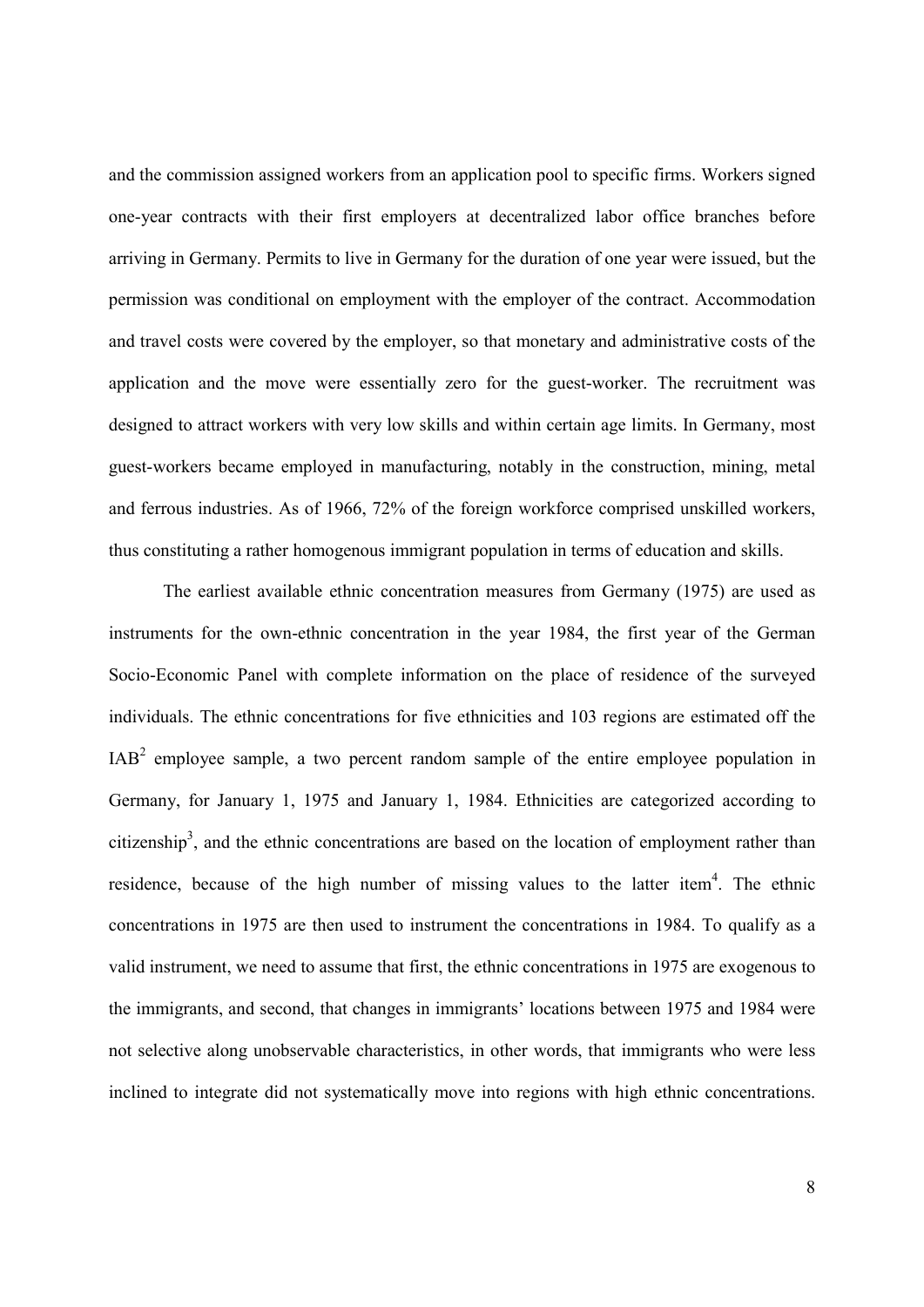and the commission assigned workers from an application pool to specific firms. Workers signed one-year contracts with their first employers at decentralized labor office branches before arriving in Germany. Permits to live in Germany for the duration of one year were issued, but the permission was conditional on employment with the employer of the contract. Accommodation and travel costs were covered by the employer, so that monetary and administrative costs of the application and the move were essentially zero for the guest-worker. The recruitment was designed to attract workers with very low skills and within certain age limits. In Germany, most guest-workers became employed in manufacturing, notably in the construction, mining, metal and ferrous industries. As of 1966, 72% of the foreign workforce comprised unskilled workers, thus constituting a rather homogenous immigrant population in terms of education and skills.

The earliest available ethnic concentration measures from Germany (1975) are used as instruments for the own-ethnic concentration in the year 1984, the first year of the German Socio-Economic Panel with complete information on the place of residence of the surveyed individuals. The ethnic concentrations for five ethnicities and 103 regions are estimated off the  $IAB<sup>2</sup>$  employee sample, a two percent random sample of the entire employee population in Germany, for January 1, 1975 and January 1, 1984. Ethnicities are categorized according to citizenship<sup>3</sup>, and the ethnic concentrations are based on the location of employment rather than residence, because of the high number of missing values to the latter item<sup>4</sup>. The ethnic concentrations in 1975 are then used to instrument the concentrations in 1984. To qualify as a valid instrument, we need to assume that first, the ethnic concentrations in 1975 are exogenous to the immigrants, and second, that changes in immigrants' locations between 1975 and 1984 were not selective along unobservable characteristics, in other words, that immigrants who were less inclined to integrate did not systematically move into regions with high ethnic concentrations.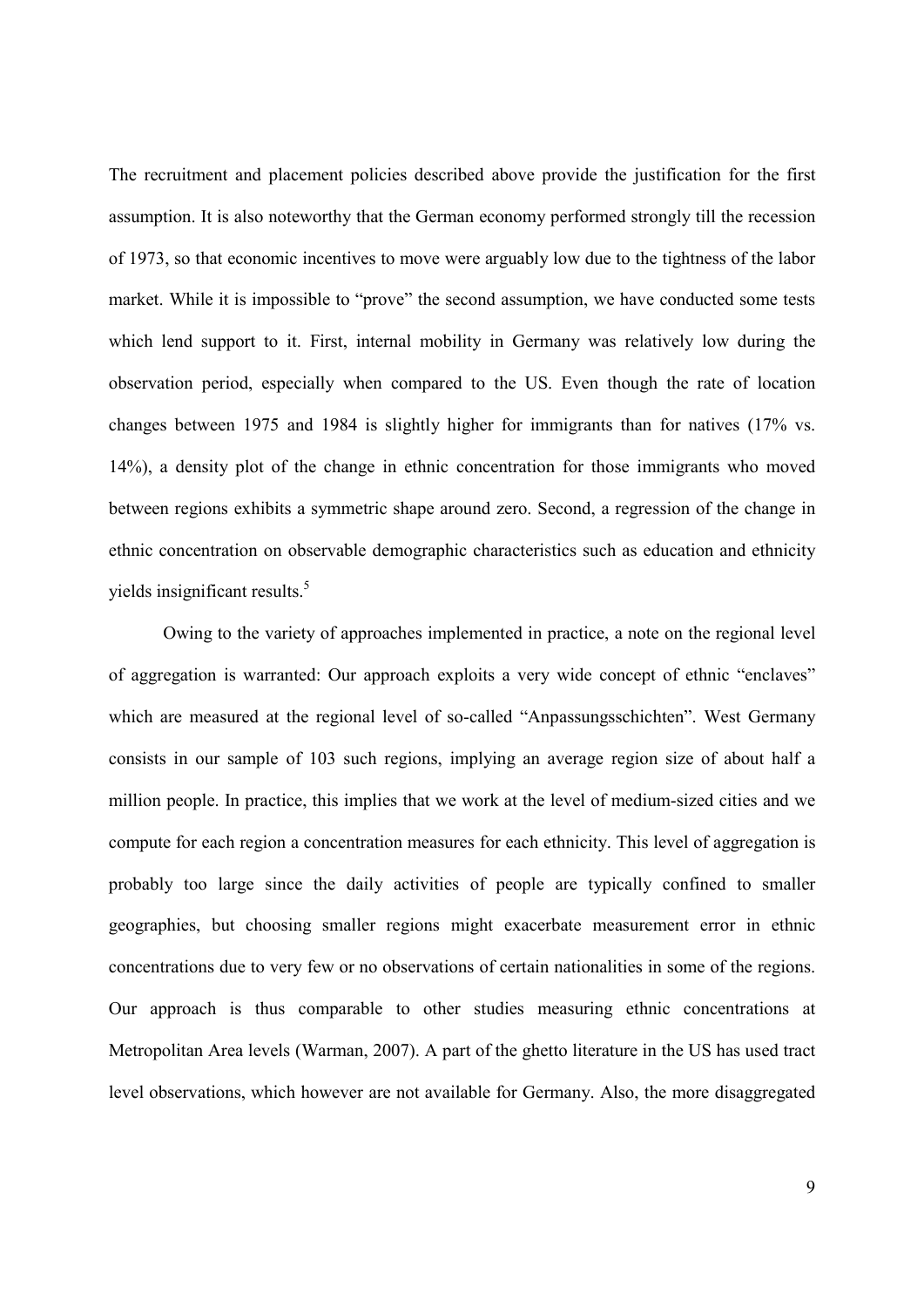The recruitment and placement policies described above provide the justification for the first assumption. It is also noteworthy that the German economy performed strongly till the recession of 1973, so that economic incentives to move were arguably low due to the tightness of the labor market. While it is impossible to "prove" the second assumption, we have conducted some tests which lend support to it. First, internal mobility in Germany was relatively low during the observation period, especially when compared to the US. Even though the rate of location changes between 1975 and 1984 is slightly higher for immigrants than for natives (17% vs. 14%), a density plot of the change in ethnic concentration for those immigrants who moved between regions exhibits a symmetric shape around zero. Second, a regression of the change in ethnic concentration on observable demographic characteristics such as education and ethnicity yields insignificant results.<sup>5</sup>

Owing to the variety of approaches implemented in practice, a note on the regional level of aggregation is warranted: Our approach exploits a very wide concept of ethnic "enclaves" which are measured at the regional level of so-called "Anpassungsschichten". West Germany consists in our sample of 103 such regions, implying an average region size of about half a million people. In practice, this implies that we work at the level of medium-sized cities and we compute for each region a concentration measures for each ethnicity. This level of aggregation is probably too large since the daily activities of people are typically confined to smaller geographies, but choosing smaller regions might exacerbate measurement error in ethnic concentrations due to very few or no observations of certain nationalities in some of the regions. Our approach is thus comparable to other studies measuring ethnic concentrations at Metropolitan Area levels (Warman, 2007). A part of the ghetto literature in the US has used tract level observations, which however are not available for Germany. Also, the more disaggregated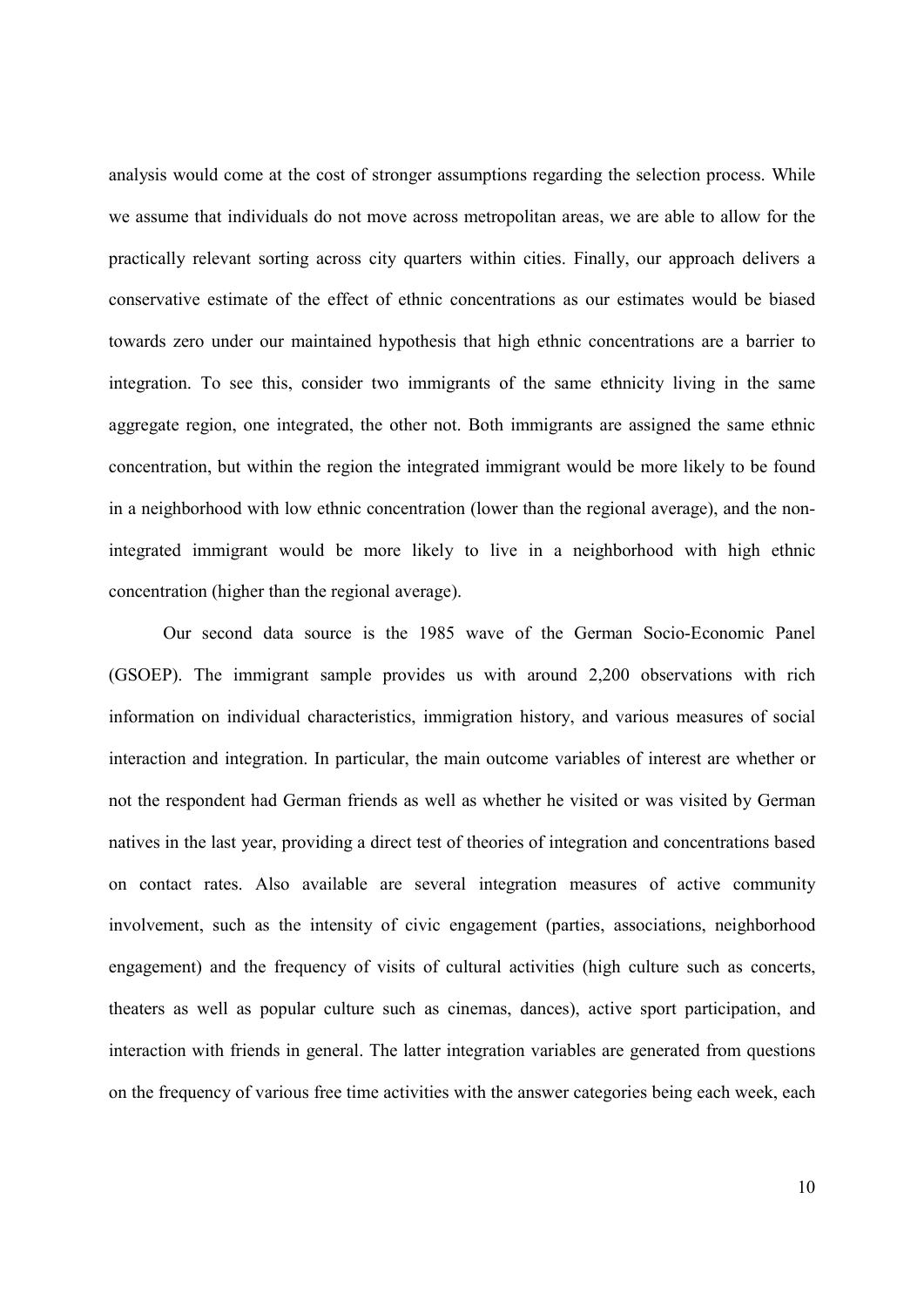analysis would come at the cost of stronger assumptions regarding the selection process. While we assume that individuals do not move across metropolitan areas, we are able to allow for the practically relevant sorting across city quarters within cities. Finally, our approach delivers a conservative estimate of the effect of ethnic concentrations as our estimates would be biased towards zero under our maintained hypothesis that high ethnic concentrations are a barrier to integration. To see this, consider two immigrants of the same ethnicity living in the same aggregate region, one integrated, the other not. Both immigrants are assigned the same ethnic concentration, but within the region the integrated immigrant would be more likely to be found in a neighborhood with low ethnic concentration (lower than the regional average), and the nonintegrated immigrant would be more likely to live in a neighborhood with high ethnic concentration (higher than the regional average).

Our second data source is the 1985 wave of the German Socio-Economic Panel (GSOEP). The immigrant sample provides us with around 2,200 observations with rich information on individual characteristics, immigration history, and various measures of social interaction and integration. In particular, the main outcome variables of interest are whether or not the respondent had German friends as well as whether he visited or was visited by German natives in the last year, providing a direct test of theories of integration and concentrations based on contact rates. Also available are several integration measures of active community involvement, such as the intensity of civic engagement (parties, associations, neighborhood engagement) and the frequency of visits of cultural activities (high culture such as concerts, theaters as well as popular culture such as cinemas, dances), active sport participation, and interaction with friends in general. The latter integration variables are generated from questions on the frequency of various free time activities with the answer categories being each week, each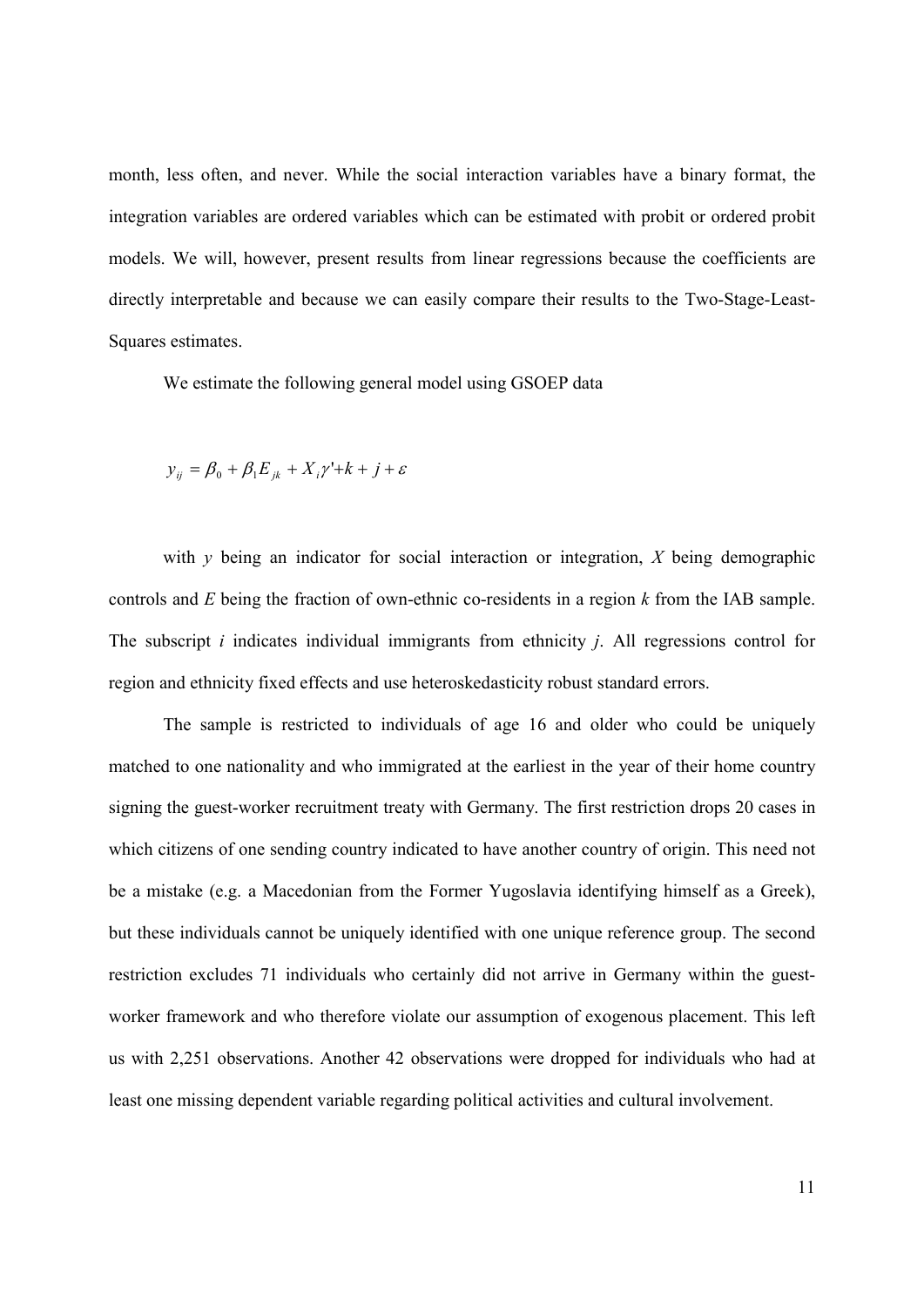month, less often, and never. While the social interaction variables have a binary format, the integration variables are ordered variables which can be estimated with probit or ordered probit models. We will, however, present results from linear regressions because the coefficients are directly interpretable and because we can easily compare their results to the Two-Stage-Least-Squares estimates.

We estimate the following general model using GSOEP data

$$
y_{ij} = \beta_0 + \beta_1 E_{jk} + X_i \gamma' + k + j + \varepsilon
$$

with *y* being an indicator for social interaction or integration, *X* being demographic controls and *E* being the fraction of own-ethnic co-residents in a region *k* from the IAB sample. The subscript *i* indicates individual immigrants from ethnicity *j*. All regressions control for region and ethnicity fixed effects and use heteroskedasticity robust standard errors.

The sample is restricted to individuals of age 16 and older who could be uniquely matched to one nationality and who immigrated at the earliest in the year of their home country signing the guest-worker recruitment treaty with Germany. The first restriction drops 20 cases in which citizens of one sending country indicated to have another country of origin. This need not be a mistake (e.g. a Macedonian from the Former Yugoslavia identifying himself as a Greek), but these individuals cannot be uniquely identified with one unique reference group. The second restriction excludes 71 individuals who certainly did not arrive in Germany within the guestworker framework and who therefore violate our assumption of exogenous placement. This left us with 2,251 observations. Another 42 observations were dropped for individuals who had at least one missing dependent variable regarding political activities and cultural involvement.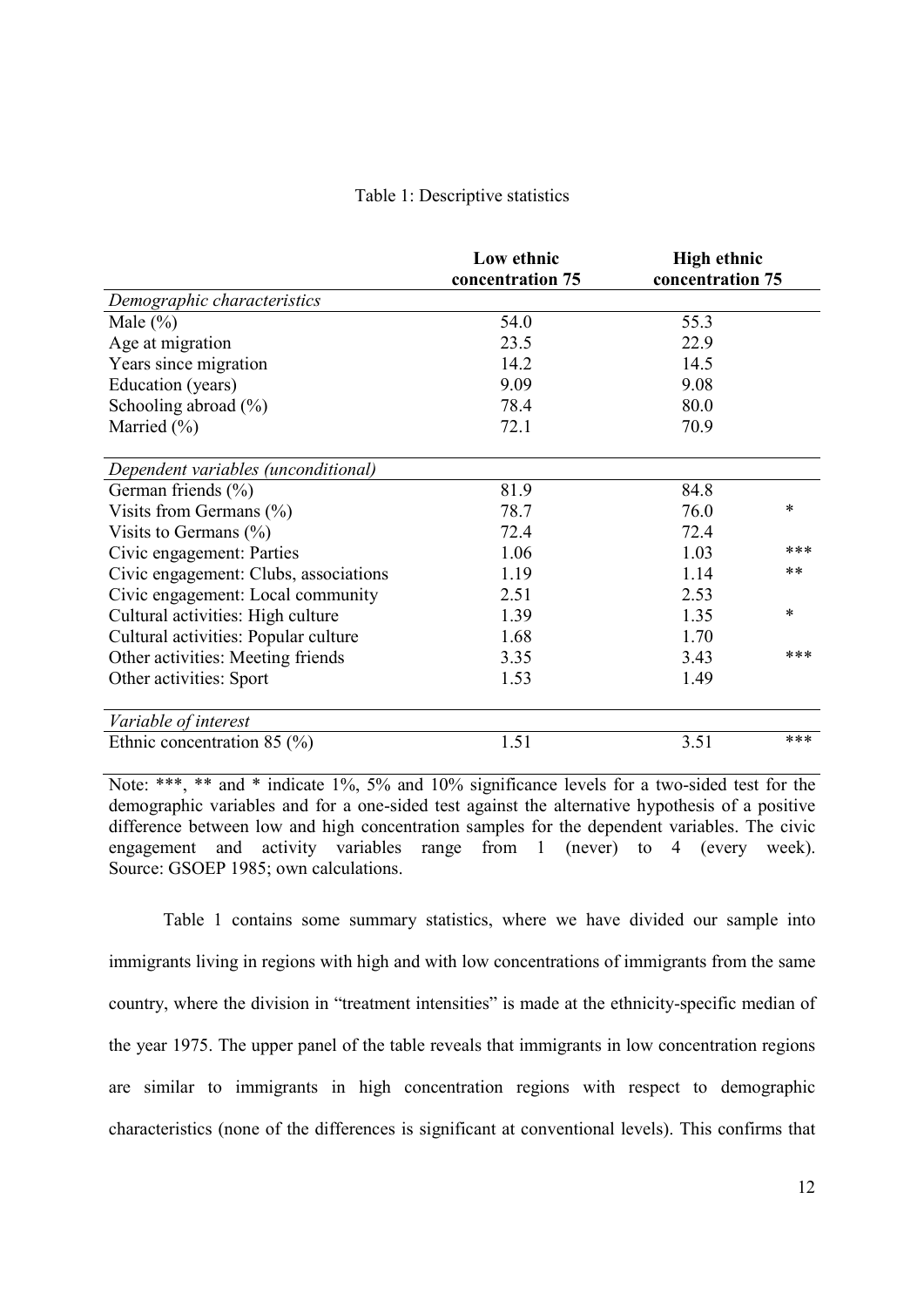#### Table 1: Descriptive statistics

|                                       | Low ethnic<br>concentration 75 | <b>High ethnic</b><br>concentration 75 |        |
|---------------------------------------|--------------------------------|----------------------------------------|--------|
| Demographic characteristics           |                                |                                        |        |
| Male $(\% )$                          | 54.0                           | 55.3                                   |        |
| Age at migration                      | 23.5                           | 22.9                                   |        |
| Years since migration                 | 14.2                           | 14.5                                   |        |
| Education (years)                     | 9.09                           | 9.08                                   |        |
| Schooling abroad $(\% )$              | 78.4                           | 80.0                                   |        |
| Married $(\% )$                       | 72.1                           | 70.9                                   |        |
| Dependent variables (unconditional)   |                                |                                        |        |
| German friends (%)                    | 81.9                           | 84.8                                   |        |
| Visits from Germans (%)               | 78.7                           | 76.0                                   | *      |
| Visits to Germans $(\%)$              | 72.4                           | 72.4                                   |        |
| Civic engagement: Parties             | 1.06                           | 1.03                                   | ***    |
| Civic engagement: Clubs, associations | 1.19                           | 1.14                                   | $**$   |
| Civic engagement: Local community     | 2.51                           | 2.53                                   |        |
| Cultural activities: High culture     | 1.39                           | 1.35                                   | $\ast$ |
| Cultural activities: Popular culture  | 1.68                           | 1.70                                   |        |
| Other activities: Meeting friends     | 3.35                           | 3.43                                   | ***    |
| Other activities: Sport               | 1.53                           | 1.49                                   |        |
| Variable of interest                  |                                |                                        |        |
| Ethnic concentration 85 $(\% )$       | 1.51                           | 3.51                                   | ***    |

Note: \*\*\*, \*\* and \* indicate 1%, 5% and 10% significance levels for a two-sided test for the demographic variables and for a one-sided test against the alternative hypothesis of a positive difference between low and high concentration samples for the dependent variables. The civic engagement and activity variables range from 1 (never) to 4 (every week). Source: GSOEP 1985; own calculations.

Table 1 contains some summary statistics, where we have divided our sample into immigrants living in regions with high and with low concentrations of immigrants from the same country, where the division in "treatment intensities" is made at the ethnicity-specific median of the year 1975. The upper panel of the table reveals that immigrants in low concentration regions are similar to immigrants in high concentration regions with respect to demographic characteristics (none of the differences is significant at conventional levels). This confirms that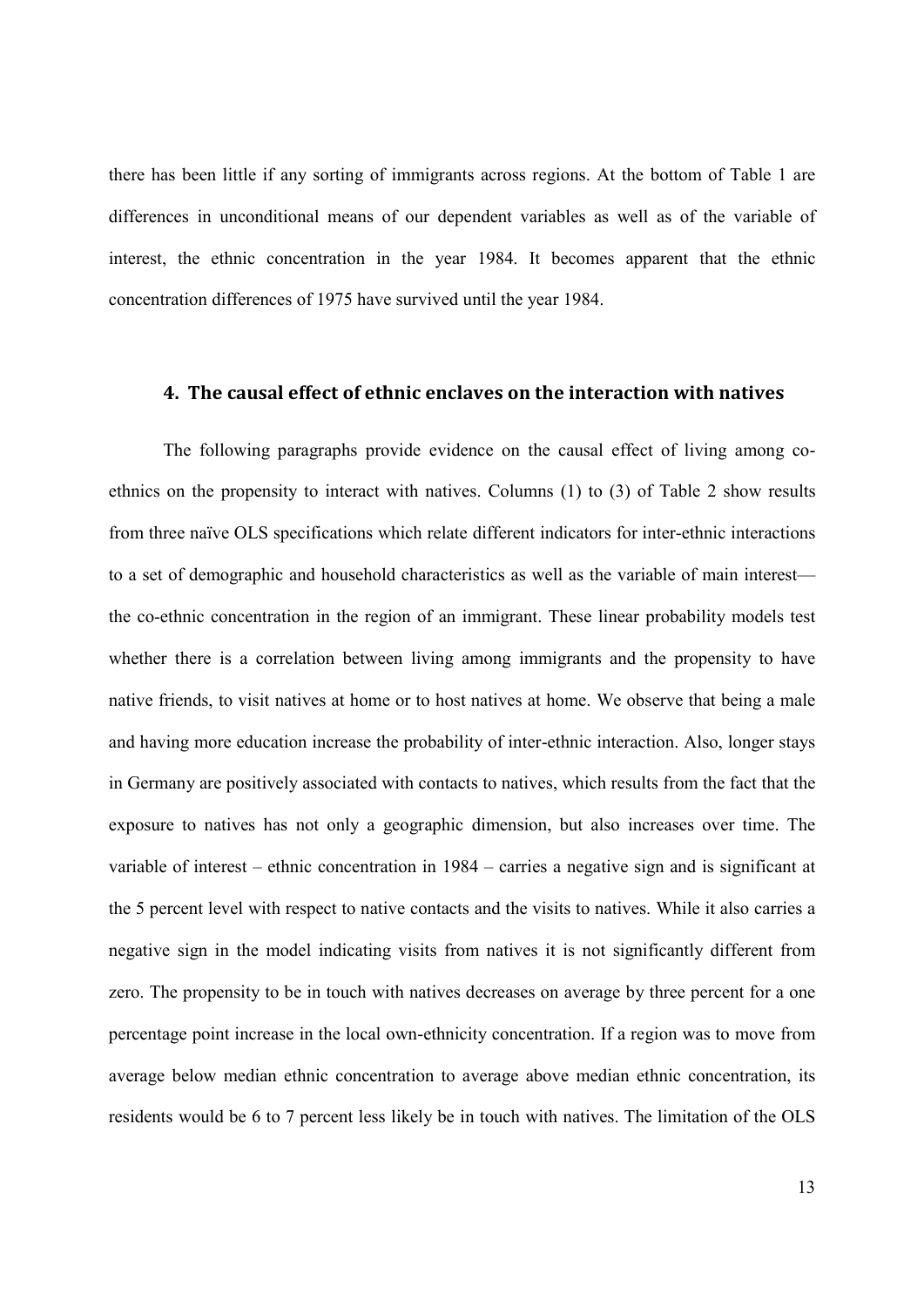there has been little if any sorting of immigrants across regions. At the bottom of Table 1 are differences in unconditional means of our dependent variables as well as of the variable of interest, the ethnic concentration in the year 1984. It becomes apparent that the ethnic concentration differences of 1975 have survived until the year 1984.

#### **4. The causal effect of ethnic enclaves on the interaction with natives**

The following paragraphs provide evidence on the causal effect of living among coethnics on the propensity to interact with natives. Columns (1) to (3) of Table 2 show results from three naïve OLS specifications which relate different indicators for inter-ethnic interactions to a set of demographic and household characteristics as well as the variable of main interest the co-ethnic concentration in the region of an immigrant. These linear probability models test whether there is a correlation between living among immigrants and the propensity to have native friends, to visit natives at home or to host natives at home. We observe that being a male and having more education increase the probability of inter-ethnic interaction. Also, longer stays in Germany are positively associated with contacts to natives, which results from the fact that the exposure to natives has not only a geographic dimension, but also increases over time. The variable of interest – ethnic concentration in 1984 – carries a negative sign and is significant at the 5 percent level with respect to native contacts and the visits to natives. While it also carries a negative sign in the model indicating visits from natives it is not significantly different from zero. The propensity to be in touch with natives decreases on average by three percent for a one percentage point increase in the local own-ethnicity concentration. If a region was to move from average below median ethnic concentration to average above median ethnic concentration, its residents would be 6 to 7 percent less likely be in touch with natives. The limitation of the OLS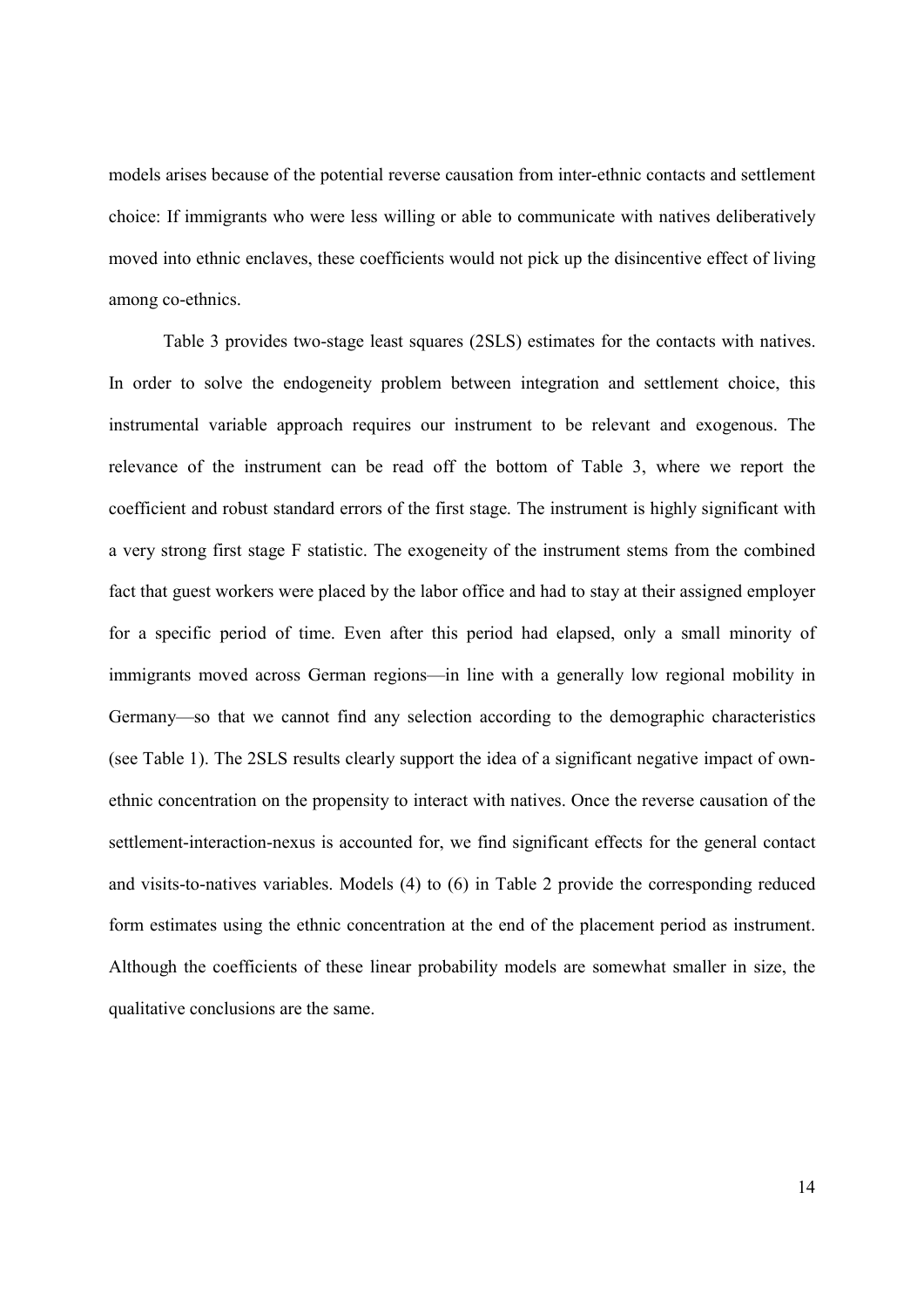models arises because of the potential reverse causation from inter-ethnic contacts and settlement choice: If immigrants who were less willing or able to communicate with natives deliberatively moved into ethnic enclaves, these coefficients would not pick up the disincentive effect of living among co-ethnics.

Table 3 provides two-stage least squares (2SLS) estimates for the contacts with natives. In order to solve the endogeneity problem between integration and settlement choice, this instrumental variable approach requires our instrument to be relevant and exogenous. The relevance of the instrument can be read off the bottom of Table 3, where we report the coefficient and robust standard errors of the first stage. The instrument is highly significant with a very strong first stage F statistic. The exogeneity of the instrument stems from the combined fact that guest workers were placed by the labor office and had to stay at their assigned employer for a specific period of time. Even after this period had elapsed, only a small minority of immigrants moved across German regions—in line with a generally low regional mobility in Germany—so that we cannot find any selection according to the demographic characteristics (see Table 1). The 2SLS results clearly support the idea of a significant negative impact of ownethnic concentration on the propensity to interact with natives. Once the reverse causation of the settlement-interaction-nexus is accounted for, we find significant effects for the general contact and visits-to-natives variables. Models (4) to (6) in Table 2 provide the corresponding reduced form estimates using the ethnic concentration at the end of the placement period as instrument. Although the coefficients of these linear probability models are somewhat smaller in size, the qualitative conclusions are the same.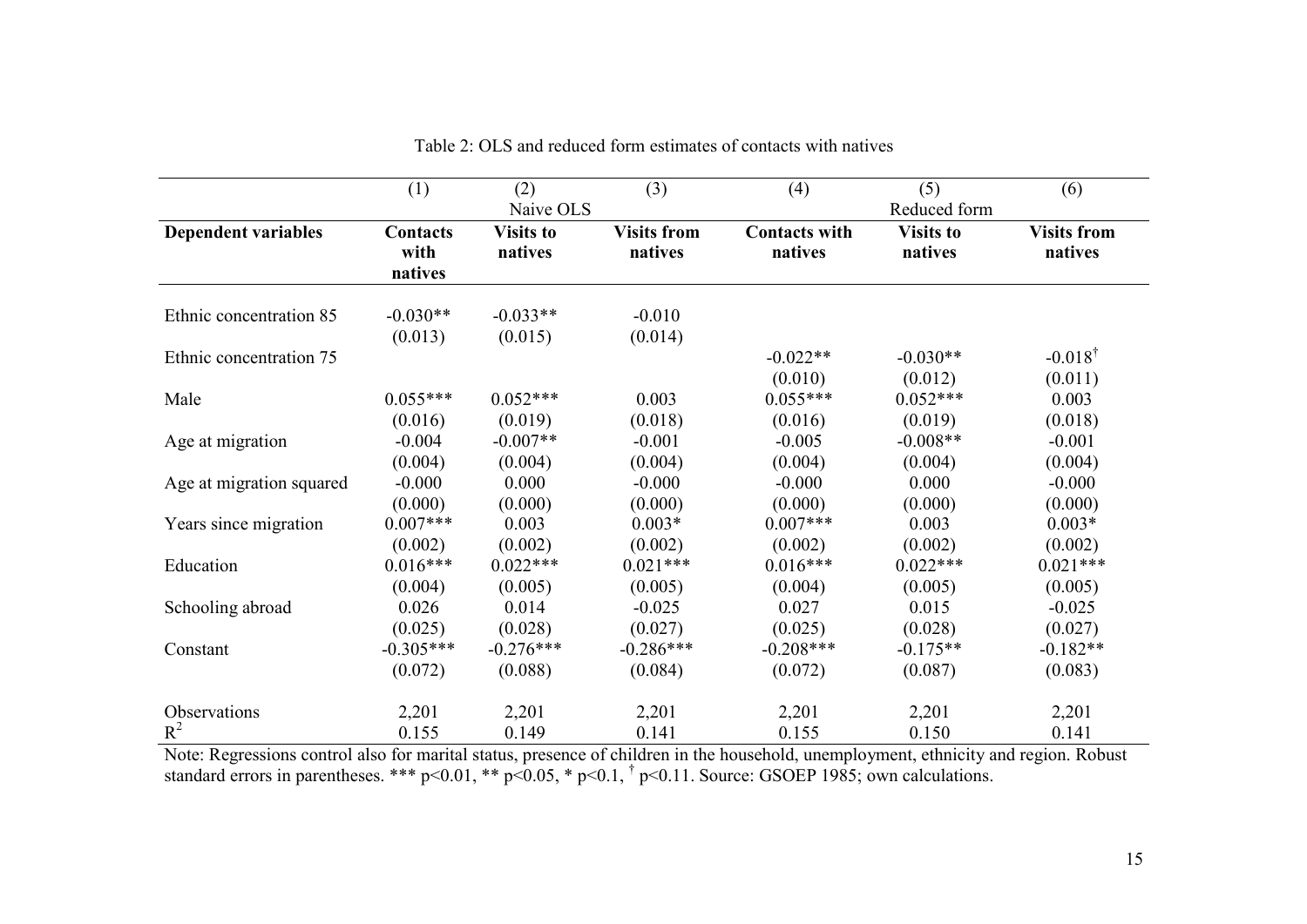|                            | (1)                         | (2)                         | (3)                           | (4)                             | (5)                         | (6)                           |
|----------------------------|-----------------------------|-----------------------------|-------------------------------|---------------------------------|-----------------------------|-------------------------------|
|                            | Naive OLS                   |                             |                               |                                 | Reduced form                |                               |
| <b>Dependent variables</b> | Contacts<br>with<br>natives | <b>Visits to</b><br>natives | <b>Visits from</b><br>natives | <b>Contacts with</b><br>natives | <b>Visits to</b><br>natives | <b>Visits from</b><br>natives |
| Ethnic concentration 85    | $-0.030**$<br>(0.013)       | $-0.033**$<br>(0.015)       | $-0.010$<br>(0.014)           |                                 |                             |                               |
| Ethnic concentration 75    |                             |                             |                               | $-0.022**$<br>(0.010)           | $-0.030**$<br>(0.012)       | $-0.018^{\dagger}$<br>(0.011) |
| Male                       | $0.055***$                  | $0.052***$                  | 0.003                         | $0.055***$                      | $0.052***$                  | 0.003                         |
|                            | (0.016)                     | (0.019)                     | (0.018)                       | (0.016)                         | (0.019)                     | (0.018)                       |
| Age at migration           | $-0.004$                    | $-0.007**$                  | $-0.001$                      | $-0.005$                        | $-0.008**$                  | $-0.001$                      |
|                            | (0.004)                     | (0.004)                     | (0.004)                       | (0.004)                         | (0.004)                     | (0.004)                       |
| Age at migration squared   | $-0.000$                    | 0.000                       | $-0.000$                      | $-0.000$                        | 0.000                       | $-0.000$                      |
|                            | (0.000)                     | (0.000)                     | (0.000)                       | (0.000)                         | (0.000)                     | (0.000)                       |
| Years since migration      | $0.007***$                  | 0.003                       | $0.003*$                      | $0.007***$                      | 0.003                       | $0.003*$                      |
|                            | (0.002)                     | (0.002)                     | (0.002)                       | (0.002)                         | (0.002)                     | (0.002)                       |
| Education                  | $0.016***$                  | $0.022***$                  | $0.021***$                    | $0.016***$                      | $0.022***$                  | $0.021***$                    |
|                            | (0.004)                     | (0.005)                     | (0.005)                       | (0.004)                         | (0.005)                     | (0.005)                       |
| Schooling abroad           | 0.026                       | 0.014                       | $-0.025$                      | 0.027                           | 0.015                       | $-0.025$                      |
|                            | (0.025)                     | (0.028)                     | (0.027)                       | (0.025)                         | (0.028)                     | (0.027)                       |
| Constant                   | $-0.305***$                 | $-0.276***$                 | $-0.286***$                   | $-0.208***$                     | $-0.175**$                  | $-0.182**$                    |
|                            | (0.072)                     | (0.088)                     | (0.084)                       | (0.072)                         | (0.087)                     | (0.083)                       |
| Observations               | 2,201                       | 2,201                       | 2,201                         | 2,201                           | 2,201                       | 2,201                         |
| $R^2$                      | 0.155                       | 0.149                       | 0.141                         | 0.155                           | 0.150                       | 0.141                         |

Table 2: OLS and reduced form estimates of contacts with natives

Note: Regressions control also for marital status, presence of children in the household, unemployment, ethnicity and region. Robust standard errors in parentheses. \*\*\*  $p<0.01$ , \*\*  $p<0.05$ , \*  $p<0.1$ ,  $\frac{1}{p}<0.11$ . Sou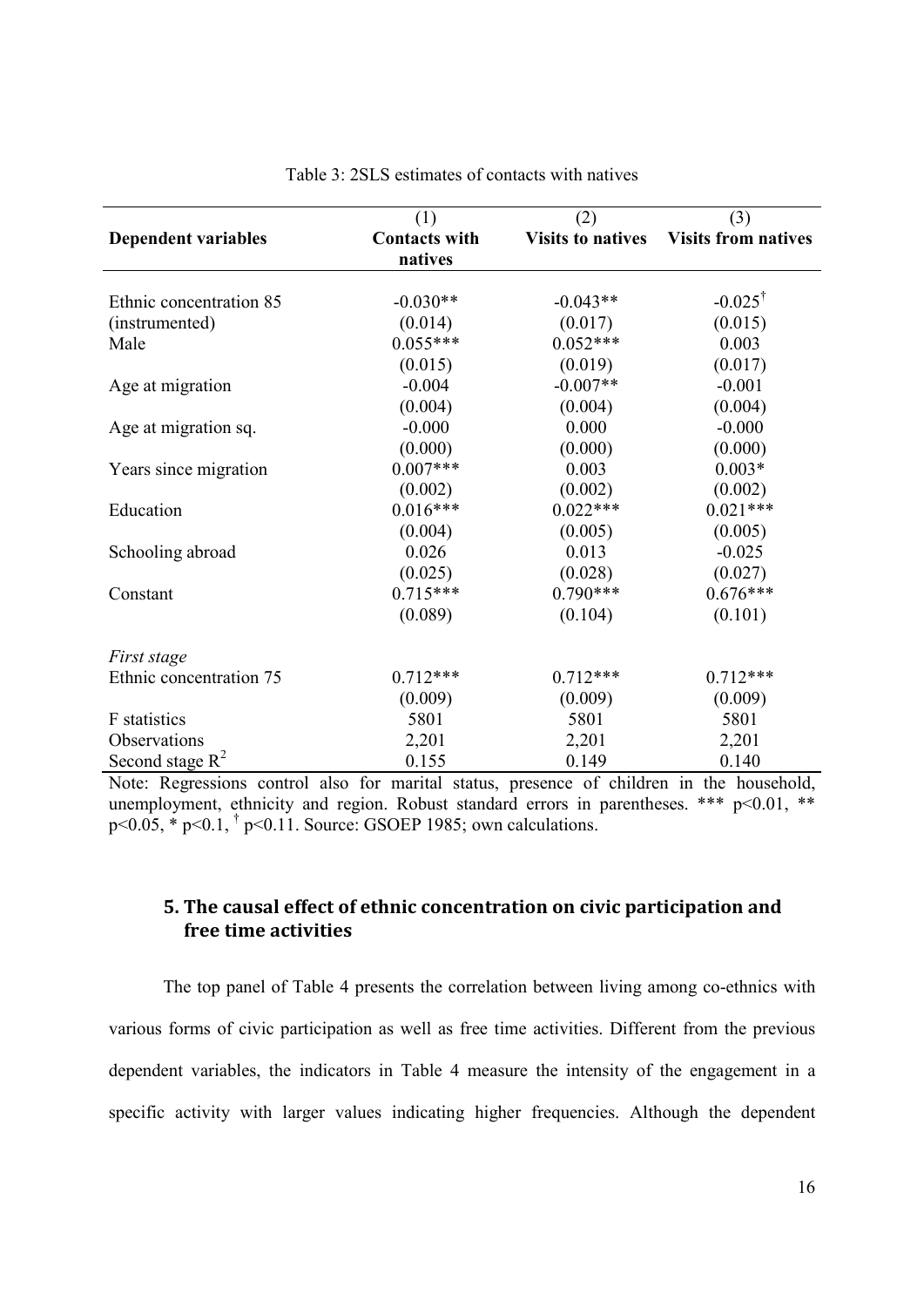|                            | (1)                  | (2)                      | (3)                        |
|----------------------------|----------------------|--------------------------|----------------------------|
| <b>Dependent variables</b> | <b>Contacts with</b> | <b>Visits to natives</b> | <b>Visits from natives</b> |
|                            | natives              |                          |                            |
|                            |                      |                          |                            |
| Ethnic concentration 85    | $-0.030**$           | $-0.043**$               | $-0.025^{\dagger}$         |
| (instrumented)             | (0.014)              | (0.017)                  | (0.015)                    |
| Male                       | $0.055***$           | $0.052***$               | 0.003                      |
|                            | (0.015)              | (0.019)                  | (0.017)                    |
| Age at migration           | $-0.004$             | $-0.007**$               | $-0.001$                   |
|                            | (0.004)              | (0.004)                  | (0.004)                    |
| Age at migration sq.       | $-0.000$             | 0.000                    | $-0.000$                   |
|                            | (0.000)              | (0.000)                  | (0.000)                    |
| Years since migration      | $0.007***$           | 0.003                    | $0.003*$                   |
|                            | (0.002)              | (0.002)                  | (0.002)                    |
| Education                  | $0.016***$           | $0.022***$               | $0.021***$                 |
|                            | (0.004)              | (0.005)                  | (0.005)                    |
| Schooling abroad           | 0.026                | 0.013                    | $-0.025$                   |
|                            | (0.025)              | (0.028)                  | (0.027)                    |
| Constant                   | $0.715***$           | $0.790***$               | $0.676***$                 |
|                            | (0.089)              | (0.104)                  | (0.101)                    |
| First stage                |                      |                          |                            |
| Ethnic concentration 75    | $0.712***$           | $0.712***$               | $0.712***$                 |
|                            | (0.009)              | (0.009)                  | (0.009)                    |
| F statistics               | 5801                 | 5801                     | 5801                       |
| Observations               | 2,201                | 2,201                    | 2,201                      |
| Second stage $R^2$         | 0.155                | 0.149                    | 0.140                      |

Table 3: 2SLS estimates of contacts with natives

Note: Regressions control also for marital status, presence of children in the household, unemployment, ethnicity and region. Robust standard errors in parentheses. \*\*\* p<0.01, \*\* p<0.05, \* p<0.1, † p<0.11. Source: GSOEP 1985; own calculations.

# **5. The causal effect of ethnic concentration on civic participation and free time activities**

The top panel of Table 4 presents the correlation between living among co-ethnics with various forms of civic participation as well as free time activities. Different from the previous dependent variables, the indicators in Table 4 measure the intensity of the engagement in a specific activity with larger values indicating higher frequencies. Although the dependent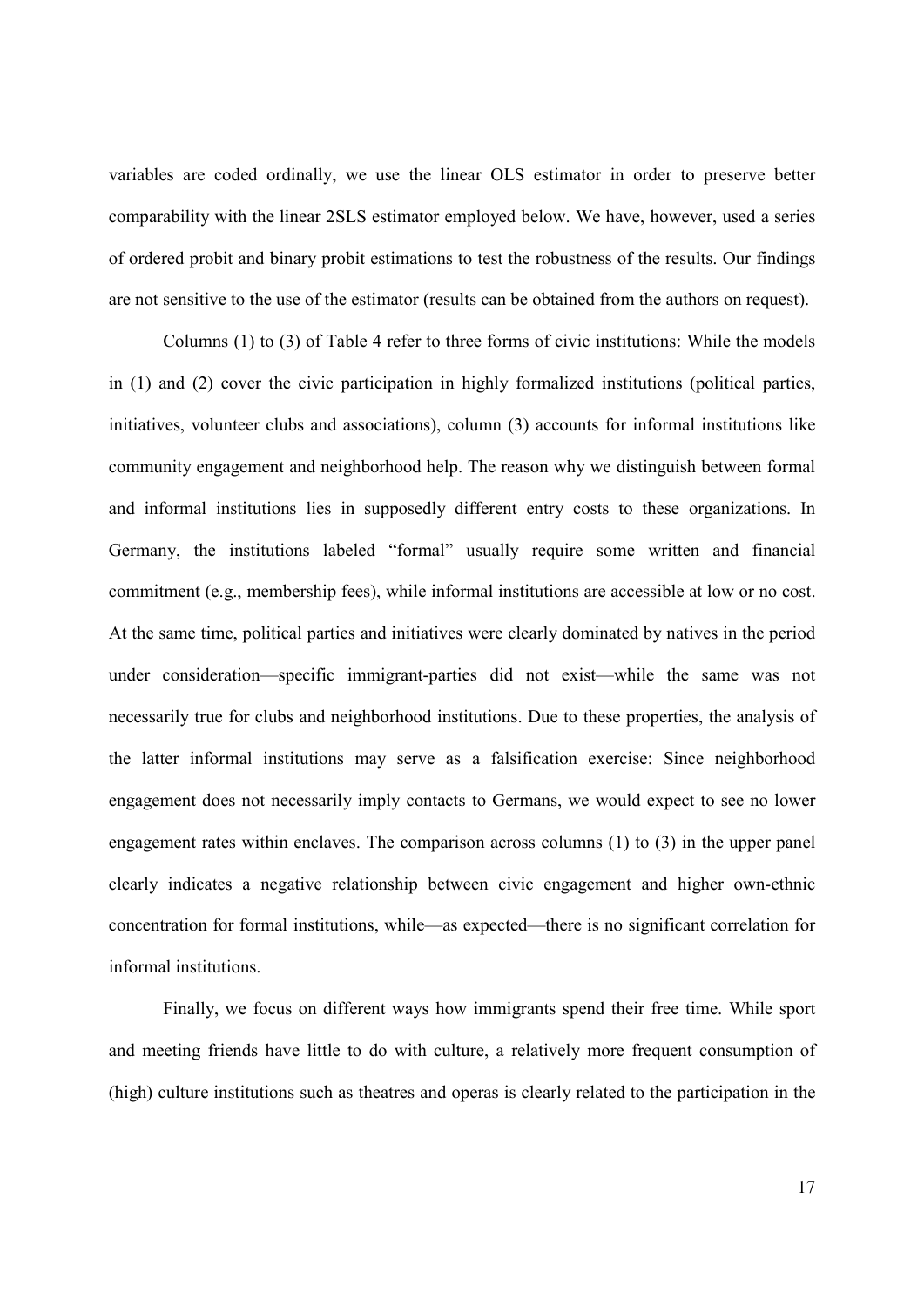variables are coded ordinally, we use the linear OLS estimator in order to preserve better comparability with the linear 2SLS estimator employed below. We have, however, used a series of ordered probit and binary probit estimations to test the robustness of the results. Our findings are not sensitive to the use of the estimator (results can be obtained from the authors on request).

Columns (1) to (3) of Table 4 refer to three forms of civic institutions: While the models in (1) and (2) cover the civic participation in highly formalized institutions (political parties, initiatives, volunteer clubs and associations), column (3) accounts for informal institutions like community engagement and neighborhood help. The reason why we distinguish between formal and informal institutions lies in supposedly different entry costs to these organizations. In Germany, the institutions labeled "formal" usually require some written and financial commitment (e.g., membership fees), while informal institutions are accessible at low or no cost. At the same time, political parties and initiatives were clearly dominated by natives in the period under consideration—specific immigrant-parties did not exist—while the same was not necessarily true for clubs and neighborhood institutions. Due to these properties, the analysis of the latter informal institutions may serve as a falsification exercise: Since neighborhood engagement does not necessarily imply contacts to Germans, we would expect to see no lower engagement rates within enclaves. The comparison across columns (1) to (3) in the upper panel clearly indicates a negative relationship between civic engagement and higher own-ethnic concentration for formal institutions, while—as expected—there is no significant correlation for informal institutions.

Finally, we focus on different ways how immigrants spend their free time. While sport and meeting friends have little to do with culture, a relatively more frequent consumption of (high) culture institutions such as theatres and operas is clearly related to the participation in the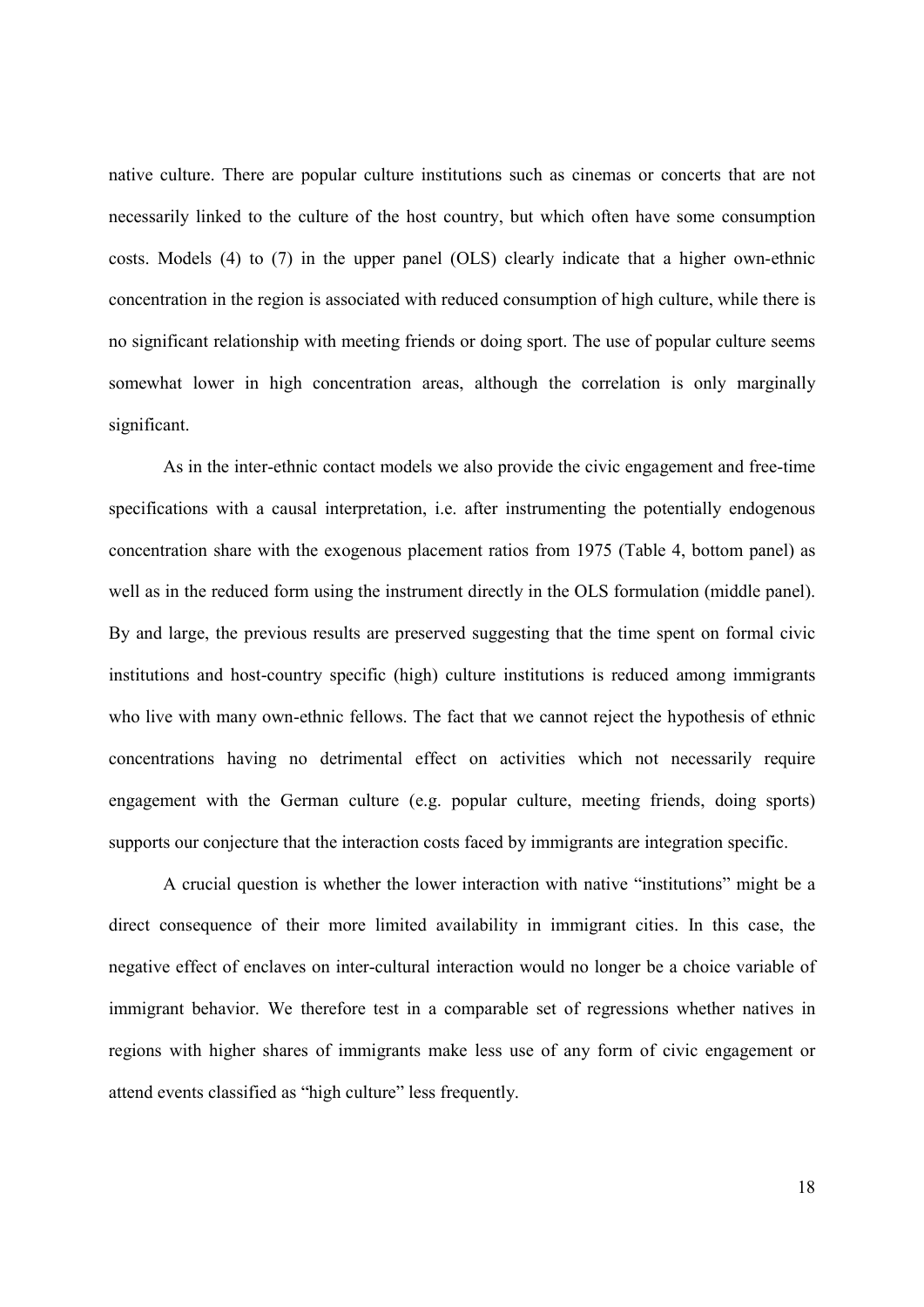native culture. There are popular culture institutions such as cinemas or concerts that are not necessarily linked to the culture of the host country, but which often have some consumption costs. Models (4) to (7) in the upper panel (OLS) clearly indicate that a higher own-ethnic concentration in the region is associated with reduced consumption of high culture, while there is no significant relationship with meeting friends or doing sport. The use of popular culture seems somewhat lower in high concentration areas, although the correlation is only marginally significant.

As in the inter-ethnic contact models we also provide the civic engagement and free-time specifications with a causal interpretation, i.e. after instrumenting the potentially endogenous concentration share with the exogenous placement ratios from 1975 (Table 4, bottom panel) as well as in the reduced form using the instrument directly in the OLS formulation (middle panel). By and large, the previous results are preserved suggesting that the time spent on formal civic institutions and host-country specific (high) culture institutions is reduced among immigrants who live with many own-ethnic fellows. The fact that we cannot reject the hypothesis of ethnic concentrations having no detrimental effect on activities which not necessarily require engagement with the German culture (e.g. popular culture, meeting friends, doing sports) supports our conjecture that the interaction costs faced by immigrants are integration specific.

A crucial question is whether the lower interaction with native "institutions" might be a direct consequence of their more limited availability in immigrant cities. In this case, the negative effect of enclaves on inter-cultural interaction would no longer be a choice variable of immigrant behavior. We therefore test in a comparable set of regressions whether natives in regions with higher shares of immigrants make less use of any form of civic engagement or attend events classified as "high culture" less frequently.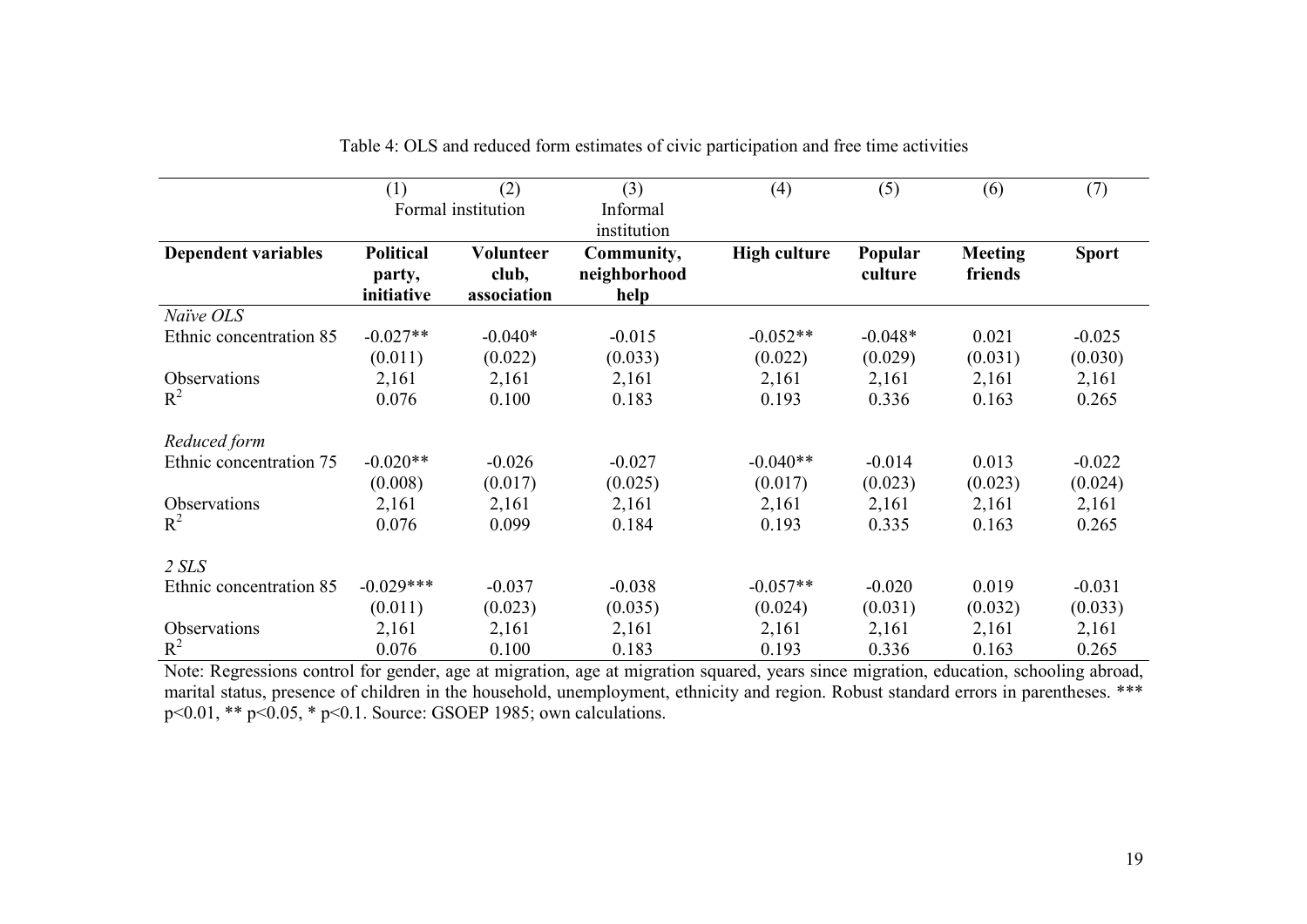|                            | (1)              | (2)                | (3)          | (4)                 | (5)       | (6)            | (7)          |
|----------------------------|------------------|--------------------|--------------|---------------------|-----------|----------------|--------------|
|                            |                  | Formal institution | Informal     |                     |           |                |              |
|                            |                  |                    | institution  |                     |           |                |              |
| <b>Dependent variables</b> | <b>Political</b> | Volunteer          | Community,   | <b>High culture</b> | Popular   | <b>Meeting</b> | <b>Sport</b> |
|                            | party,           | club,              | neighborhood |                     | culture   | friends        |              |
|                            | initiative       | association        | help         |                     |           |                |              |
| Naïve OLS                  |                  |                    |              |                     |           |                |              |
| Ethnic concentration 85    | $-0.027**$       | $-0.040*$          | $-0.015$     | $-0.052**$          | $-0.048*$ | 0.021          | $-0.025$     |
|                            | (0.011)          | (0.022)            | (0.033)      | (0.022)             | (0.029)   | (0.031)        | (0.030)      |
| Observations               | 2,161            | 2,161              | 2,161        | 2,161               | 2,161     | 2,161          | 2,161        |
| $R^2$                      | 0.076            | 0.100              | 0.183        | 0.193               | 0.336     | 0.163          | 0.265        |
| Reduced form               |                  |                    |              |                     |           |                |              |
| Ethnic concentration 75    | $-0.020**$       | $-0.026$           | $-0.027$     | $-0.040**$          | $-0.014$  | 0.013          | $-0.022$     |
|                            | (0.008)          | (0.017)            | (0.025)      | (0.017)             | (0.023)   | (0.023)        | (0.024)      |
| Observations               | 2,161            | 2,161              | 2,161        | 2,161               | 2,161     | 2,161          | 2,161        |
| $R^2$                      | 0.076            | 0.099              | 0.184        | 0.193               | 0.335     | 0.163          | 0.265        |
|                            |                  |                    |              |                     |           |                |              |
| $2$ SLS                    |                  |                    |              |                     |           |                |              |
| Ethnic concentration 85    | $-0.029***$      | $-0.037$           | $-0.038$     | $-0.057**$          | $-0.020$  | 0.019          | $-0.031$     |
|                            | (0.011)          | (0.023)            | (0.035)      | (0.024)             | (0.031)   | (0.032)        | (0.033)      |
| <b>Observations</b>        | 2,161            | 2,161              | 2,161        | 2,161               | 2,161     | 2,161          | 2,161        |
| $R^2$                      | 0.076            | 0.100              | 0.183        | 0.193               | 0.336     | 0.163          | 0.265        |

Table 4: OLS and reduced form estimates of civic participation and free time activities

 Note: Regressions control for gender, age at migration, age at migration squared, years since migration, education, schooling abroad, marital status, presence of children in the household, unemployment, ethnicity and region. Robust standard errors in parentheses. \*\*\*<br>p<0.01, \*\* p<0.05, \* p<0.1. Source: GSOEP 1985; own calculations.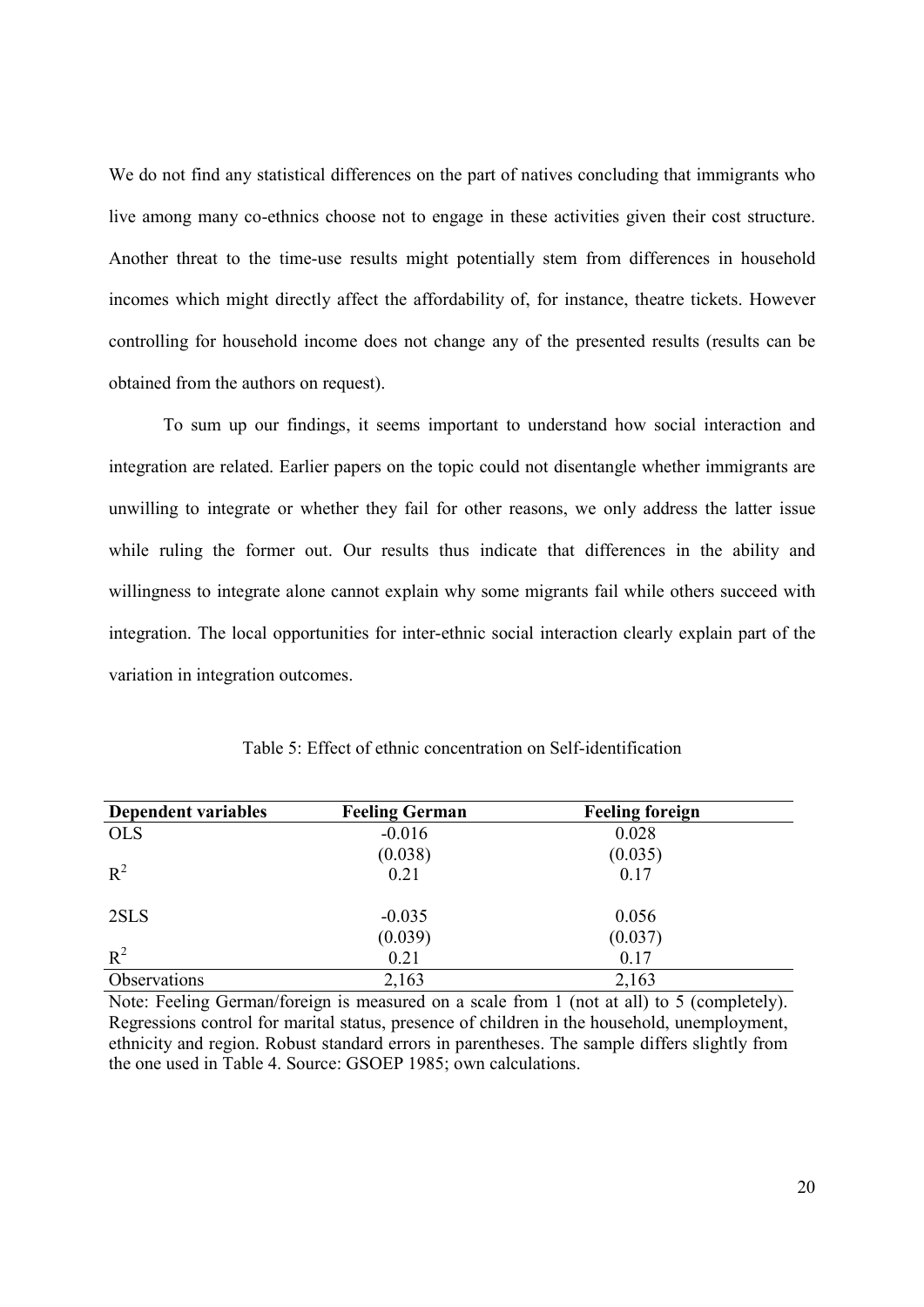We do not find any statistical differences on the part of natives concluding that immigrants who live among many co-ethnics choose not to engage in these activities given their cost structure. Another threat to the time-use results might potentially stem from differences in household incomes which might directly affect the affordability of, for instance, theatre tickets. However controlling for household income does not change any of the presented results (results can be obtained from the authors on request).

To sum up our findings, it seems important to understand how social interaction and integration are related. Earlier papers on the topic could not disentangle whether immigrants are unwilling to integrate or whether they fail for other reasons, we only address the latter issue while ruling the former out. Our results thus indicate that differences in the ability and willingness to integrate alone cannot explain why some migrants fail while others succeed with integration. The local opportunities for inter-ethnic social interaction clearly explain part of the variation in integration outcomes.

| Dependent variables | <b>Feeling German</b> | <b>Feeling foreign</b> |  |
|---------------------|-----------------------|------------------------|--|
| <b>OLS</b>          | $-0.016$              | 0.028                  |  |
|                     | (0.038)               | (0.035)                |  |
| $R^2$               | 0.21                  | 0.17                   |  |
| 2SLS                | $-0.035$              | 0.056                  |  |
|                     | (0.039)               | (0.037)                |  |
| $R^2$               | 0.21                  | 0.17                   |  |
| Observations        | 2,163                 | 2,163                  |  |

Table 5: Effect of ethnic concentration on Self-identification

Note: Feeling German/foreign is measured on a scale from 1 (not at all) to 5 (completely). Regressions control for marital status, presence of children in the household, unemployment, ethnicity and region. Robust standard errors in parentheses. The sample differs slightly from the one used in Table 4. Source: GSOEP 1985; own calculations.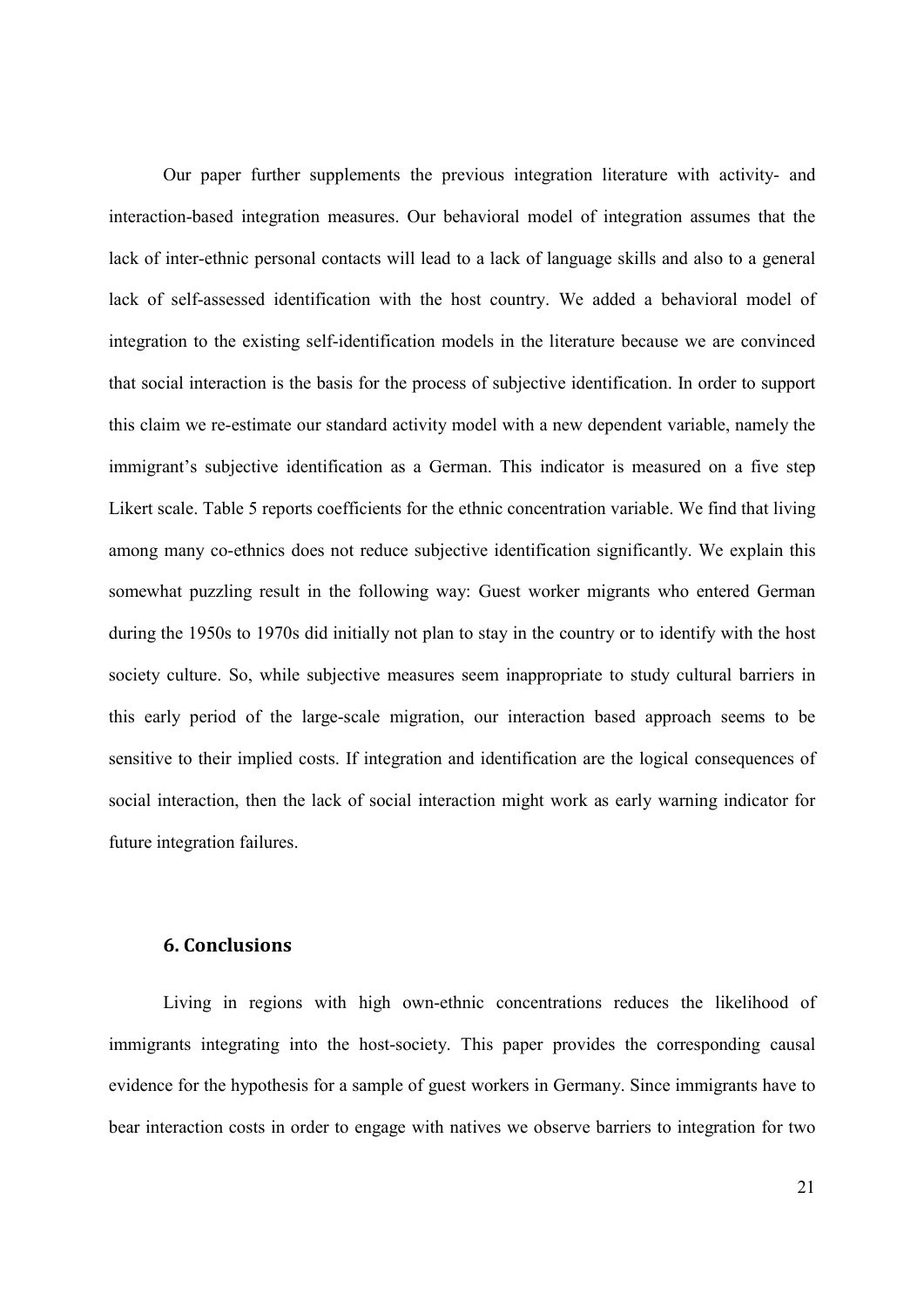Our paper further supplements the previous integration literature with activity- and interaction-based integration measures. Our behavioral model of integration assumes that the lack of inter-ethnic personal contacts will lead to a lack of language skills and also to a general lack of self-assessed identification with the host country. We added a behavioral model of integration to the existing self-identification models in the literature because we are convinced that social interaction is the basis for the process of subjective identification. In order to support this claim we re-estimate our standard activity model with a new dependent variable, namely the immigrant's subjective identification as a German. This indicator is measured on a five step Likert scale. Table 5 reports coefficients for the ethnic concentration variable. We find that living among many co-ethnics does not reduce subjective identification significantly. We explain this somewhat puzzling result in the following way: Guest worker migrants who entered German during the 1950s to 1970s did initially not plan to stay in the country or to identify with the host society culture. So, while subjective measures seem inappropriate to study cultural barriers in this early period of the large-scale migration, our interaction based approach seems to be sensitive to their implied costs. If integration and identification are the logical consequences of social interaction, then the lack of social interaction might work as early warning indicator for future integration failures.

#### **6. Conclusions**

Living in regions with high own-ethnic concentrations reduces the likelihood of immigrants integrating into the host-society. This paper provides the corresponding causal evidence for the hypothesis for a sample of guest workers in Germany. Since immigrants have to bear interaction costs in order to engage with natives we observe barriers to integration for two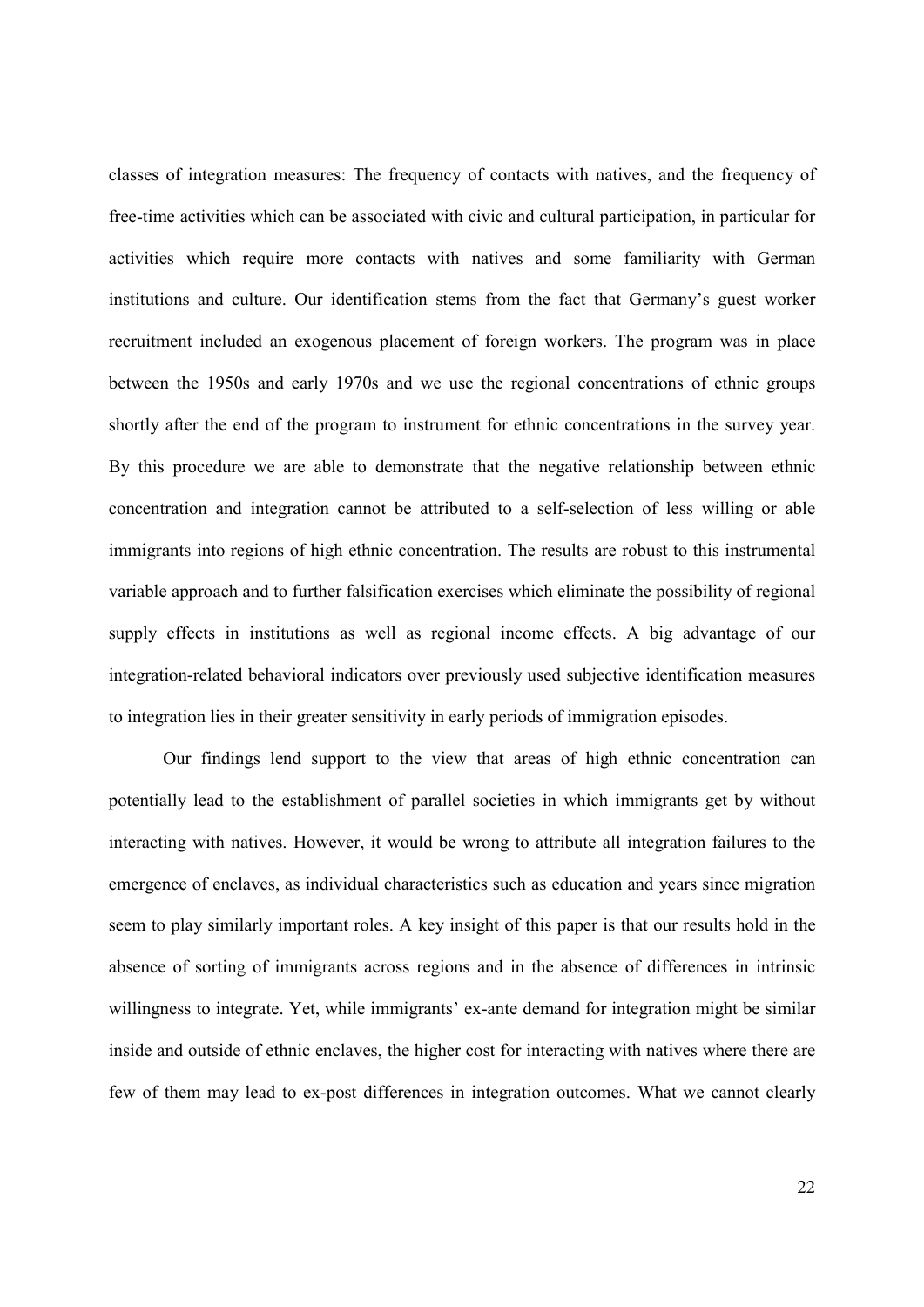classes of integration measures: The frequency of contacts with natives, and the frequency of free-time activities which can be associated with civic and cultural participation, in particular for activities which require more contacts with natives and some familiarity with German institutions and culture. Our identification stems from the fact that Germany's guest worker recruitment included an exogenous placement of foreign workers. The program was in place between the 1950s and early 1970s and we use the regional concentrations of ethnic groups shortly after the end of the program to instrument for ethnic concentrations in the survey year. By this procedure we are able to demonstrate that the negative relationship between ethnic concentration and integration cannot be attributed to a self-selection of less willing or able immigrants into regions of high ethnic concentration. The results are robust to this instrumental variable approach and to further falsification exercises which eliminate the possibility of regional supply effects in institutions as well as regional income effects. A big advantage of our integration-related behavioral indicators over previously used subjective identification measures to integration lies in their greater sensitivity in early periods of immigration episodes.

Our findings lend support to the view that areas of high ethnic concentration can potentially lead to the establishment of parallel societies in which immigrants get by without interacting with natives. However, it would be wrong to attribute all integration failures to the emergence of enclaves, as individual characteristics such as education and years since migration seem to play similarly important roles. A key insight of this paper is that our results hold in the absence of sorting of immigrants across regions and in the absence of differences in intrinsic willingness to integrate. Yet, while immigrants' ex-ante demand for integration might be similar inside and outside of ethnic enclaves, the higher cost for interacting with natives where there are few of them may lead to ex-post differences in integration outcomes. What we cannot clearly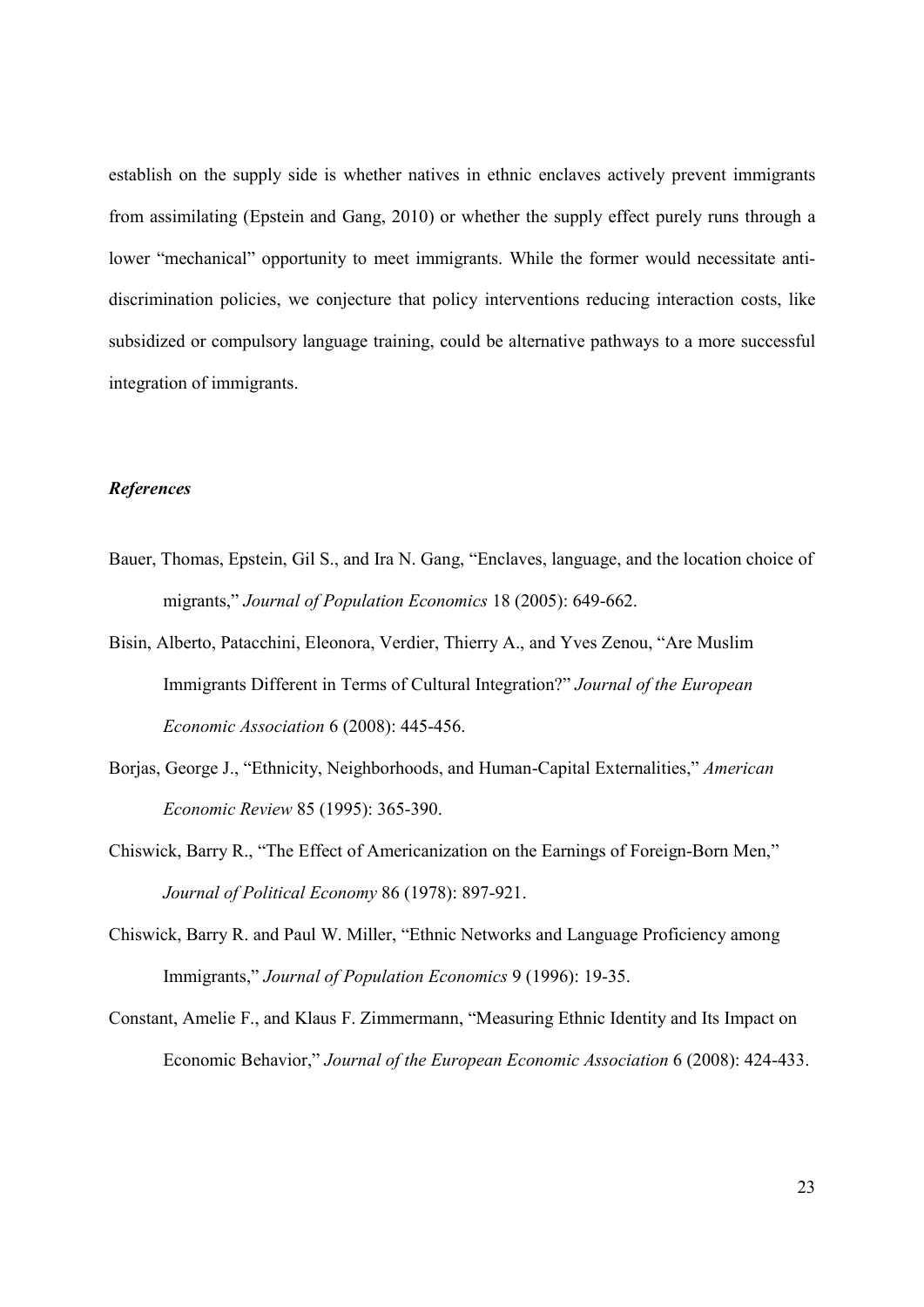establish on the supply side is whether natives in ethnic enclaves actively prevent immigrants from assimilating (Epstein and Gang, 2010) or whether the supply effect purely runs through a lower "mechanical" opportunity to meet immigrants. While the former would necessitate antidiscrimination policies, we conjecture that policy interventions reducing interaction costs, like subsidized or compulsory language training, could be alternative pathways to a more successful integration of immigrants.

#### *References*

- Bauer, Thomas, Epstein, Gil S., and Ira N. Gang, "Enclaves, language, and the location choice of migrants," *Journal of Population Economics* 18 (2005): 649-662.
- Bisin, Alberto, Patacchini, Eleonora, Verdier, Thierry A., and Yves Zenou, "Are Muslim Immigrants Different in Terms of Cultural Integration?" *Journal of the European Economic Association* 6 (2008): 445-456.
- Borjas, George J., "Ethnicity, Neighborhoods, and Human-Capital Externalities," *American Economic Review* 85 (1995): 365-390.
- Chiswick, Barry R., "The Effect of Americanization on the Earnings of Foreign-Born Men," *Journal of Political Economy* 86 (1978): 897-921.
- Chiswick, Barry R. and Paul W. Miller, "Ethnic Networks and Language Proficiency among Immigrants," *Journal of Population Economics* 9 (1996): 19-35.
- Constant, Amelie F., and Klaus F. Zimmermann, "Measuring Ethnic Identity and Its Impact on Economic Behavior," *Journal of the European Economic Association* 6 (2008): 424-433.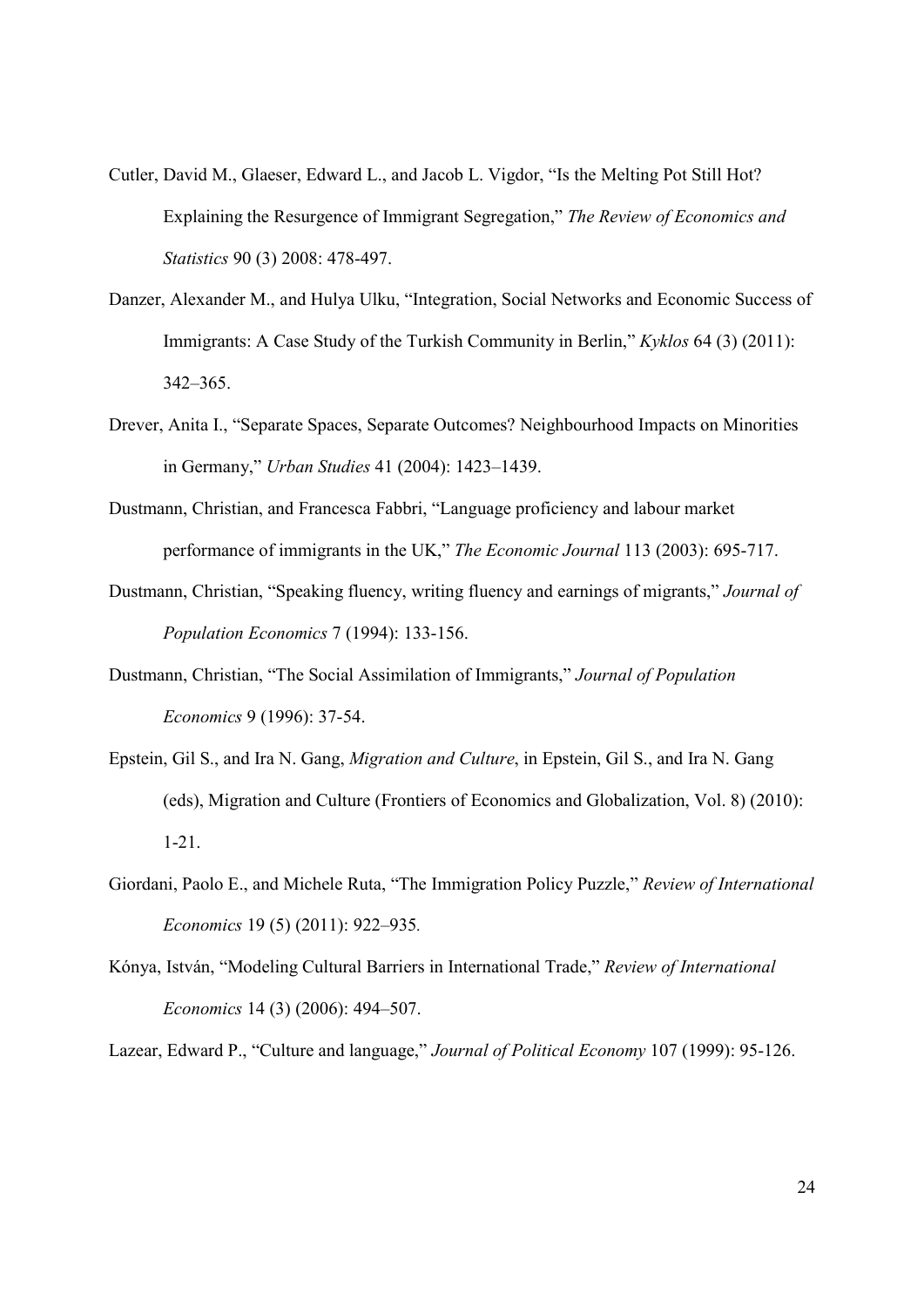- Cutler, David M., Glaeser, Edward L., and Jacob L. Vigdor, "Is the Melting Pot Still Hot? Explaining the Resurgence of Immigrant Segregation," *The Review of Economics and Statistics* 90 (3) 2008: 478-497.
- Danzer, Alexander M., and Hulya Ulku, "Integration, Social Networks and Economic Success of Immigrants: A Case Study of the Turkish Community in Berlin," *Kyklos* 64 (3) (2011): 342–365.
- Drever, Anita I., "Separate Spaces, Separate Outcomes? Neighbourhood Impacts on Minorities in Germany," *Urban Studies* 41 (2004): 1423–1439.
- Dustmann, Christian, and Francesca Fabbri, "Language proficiency and labour market performance of immigrants in the UK," *The Economic Journal* 113 (2003): 695-717.
- Dustmann, Christian, "Speaking fluency, writing fluency and earnings of migrants," *Journal of Population Economics* 7 (1994): 133-156.
- Dustmann, Christian, "The Social Assimilation of Immigrants," *Journal of Population Economics* 9 (1996): 37-54.
- Epstein, Gil S., and Ira N. Gang, *Migration and Culture*, in Epstein, Gil S., and Ira N. Gang (eds), Migration and Culture (Frontiers of Economics and Globalization, Vol. 8) (2010): 1-21.
- Giordani, Paolo E., and Michele Ruta, "The Immigration Policy Puzzle," *Review of International Economics* 19 (5) (2011): 922–935*.*
- Kónya, István, "Modeling Cultural Barriers in International Trade," *Review of International Economics* 14 (3) (2006): 494–507.

Lazear, Edward P., "Culture and language," *Journal of Political Economy* 107 (1999): 95-126.